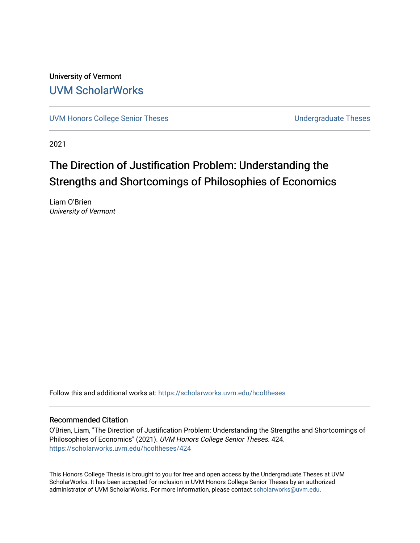University of Vermont [UVM ScholarWorks](https://scholarworks.uvm.edu/)

[UVM Honors College Senior Theses](https://scholarworks.uvm.edu/hcoltheses) **Exercise Sension College Senior Theses** Undergraduate Theses

2021

# The Direction of Justification Problem: Understanding the Strengths and Shortcomings of Philosophies of Economics

Liam O'Brien University of Vermont

Follow this and additional works at: [https://scholarworks.uvm.edu/hcoltheses](https://scholarworks.uvm.edu/hcoltheses?utm_source=scholarworks.uvm.edu%2Fhcoltheses%2F424&utm_medium=PDF&utm_campaign=PDFCoverPages) 

## Recommended Citation

O'Brien, Liam, "The Direction of Justification Problem: Understanding the Strengths and Shortcomings of Philosophies of Economics" (2021). UVM Honors College Senior Theses. 424. [https://scholarworks.uvm.edu/hcoltheses/424](https://scholarworks.uvm.edu/hcoltheses/424?utm_source=scholarworks.uvm.edu%2Fhcoltheses%2F424&utm_medium=PDF&utm_campaign=PDFCoverPages) 

This Honors College Thesis is brought to you for free and open access by the Undergraduate Theses at UVM ScholarWorks. It has been accepted for inclusion in UVM Honors College Senior Theses by an authorized administrator of UVM ScholarWorks. For more information, please contact [scholarworks@uvm.edu](mailto:scholarworks@uvm.edu).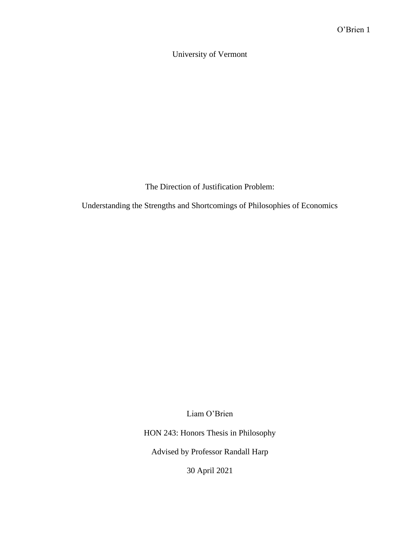University of Vermont

The Direction of Justification Problem:

Understanding the Strengths and Shortcomings of Philosophies of Economics

Liam O'Brien

HON 243: Honors Thesis in Philosophy

Advised by Professor Randall Harp

30 April 2021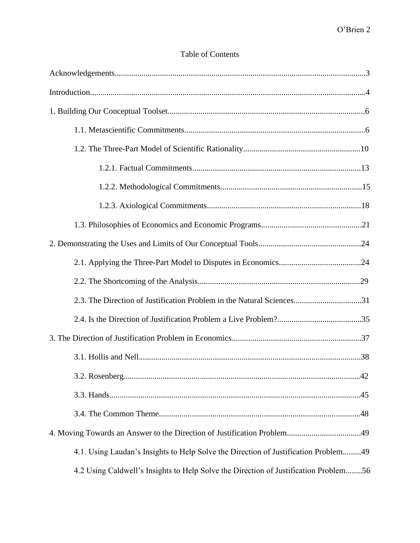# Table of Contents

| 2.3. The Direction of Justification Problem in the Natural Sciences31                |
|--------------------------------------------------------------------------------------|
|                                                                                      |
|                                                                                      |
|                                                                                      |
|                                                                                      |
|                                                                                      |
|                                                                                      |
|                                                                                      |
| 4.1. Using Laudan's Insights to Help Solve the Direction of Justification Problem49  |
| 4.2 Using Caldwell's Insights to Help Solve the Direction of Justification Problem56 |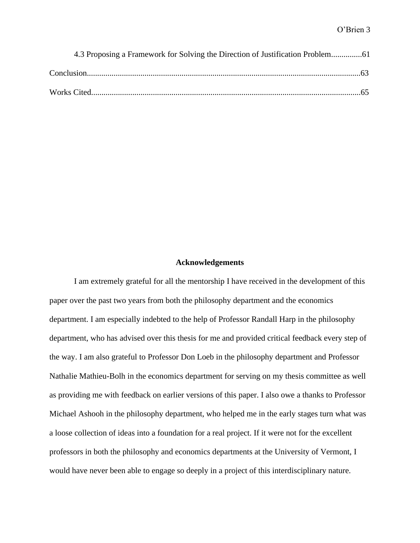| 4.3 Proposing a Framework for Solving the Direction of Justification Problem |  |
|------------------------------------------------------------------------------|--|
|                                                                              |  |
|                                                                              |  |

#### **Acknowledgements**

I am extremely grateful for all the mentorship I have received in the development of this paper over the past two years from both the philosophy department and the economics department. I am especially indebted to the help of Professor Randall Harp in the philosophy department, who has advised over this thesis for me and provided critical feedback every step of the way. I am also grateful to Professor Don Loeb in the philosophy department and Professor Nathalie Mathieu-Bolh in the economics department for serving on my thesis committee as well as providing me with feedback on earlier versions of this paper. I also owe a thanks to Professor Michael Ashooh in the philosophy department, who helped me in the early stages turn what was a loose collection of ideas into a foundation for a real project. If it were not for the excellent professors in both the philosophy and economics departments at the University of Vermont, I would have never been able to engage so deeply in a project of this interdisciplinary nature.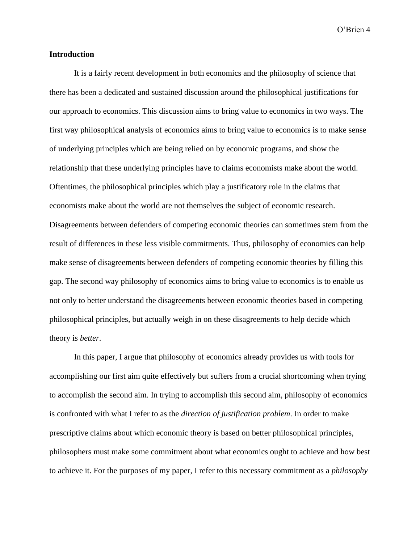# **Introduction**

It is a fairly recent development in both economics and the philosophy of science that there has been a dedicated and sustained discussion around the philosophical justifications for our approach to economics. This discussion aims to bring value to economics in two ways. The first way philosophical analysis of economics aims to bring value to economics is to make sense of underlying principles which are being relied on by economic programs, and show the relationship that these underlying principles have to claims economists make about the world. Oftentimes, the philosophical principles which play a justificatory role in the claims that economists make about the world are not themselves the subject of economic research. Disagreements between defenders of competing economic theories can sometimes stem from the result of differences in these less visible commitments. Thus, philosophy of economics can help make sense of disagreements between defenders of competing economic theories by filling this gap. The second way philosophy of economics aims to bring value to economics is to enable us not only to better understand the disagreements between economic theories based in competing philosophical principles, but actually weigh in on these disagreements to help decide which theory is *better*.

In this paper, I argue that philosophy of economics already provides us with tools for accomplishing our first aim quite effectively but suffers from a crucial shortcoming when trying to accomplish the second aim. In trying to accomplish this second aim, philosophy of economics is confronted with what I refer to as the *direction of justification problem*. In order to make prescriptive claims about which economic theory is based on better philosophical principles, philosophers must make some commitment about what economics ought to achieve and how best to achieve it. For the purposes of my paper, I refer to this necessary commitment as a *philosophy*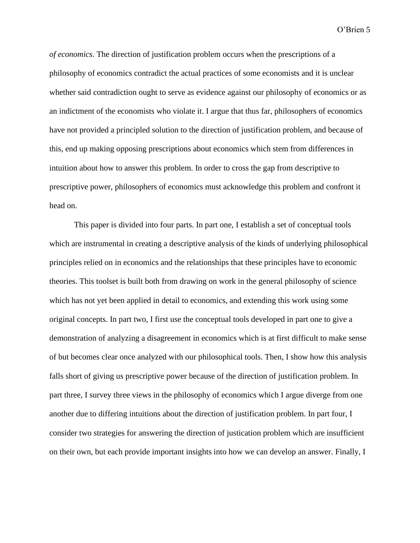*of economics*. The direction of justification problem occurs when the prescriptions of a philosophy of economics contradict the actual practices of some economists and it is unclear whether said contradiction ought to serve as evidence against our philosophy of economics or as an indictment of the economists who violate it. I argue that thus far, philosophers of economics have not provided a principled solution to the direction of justification problem, and because of this, end up making opposing prescriptions about economics which stem from differences in intuition about how to answer this problem. In order to cross the gap from descriptive to prescriptive power, philosophers of economics must acknowledge this problem and confront it head on.

This paper is divided into four parts. In part one, I establish a set of conceptual tools which are instrumental in creating a descriptive analysis of the kinds of underlying philosophical principles relied on in economics and the relationships that these principles have to economic theories. This toolset is built both from drawing on work in the general philosophy of science which has not yet been applied in detail to economics, and extending this work using some original concepts. In part two, I first use the conceptual tools developed in part one to give a demonstration of analyzing a disagreement in economics which is at first difficult to make sense of but becomes clear once analyzed with our philosophical tools. Then, I show how this analysis falls short of giving us prescriptive power because of the direction of justification problem. In part three, I survey three views in the philosophy of economics which I argue diverge from one another due to differing intuitions about the direction of justification problem. In part four, I consider two strategies for answering the direction of justication problem which are insufficient on their own, but each provide important insights into how we can develop an answer. Finally, I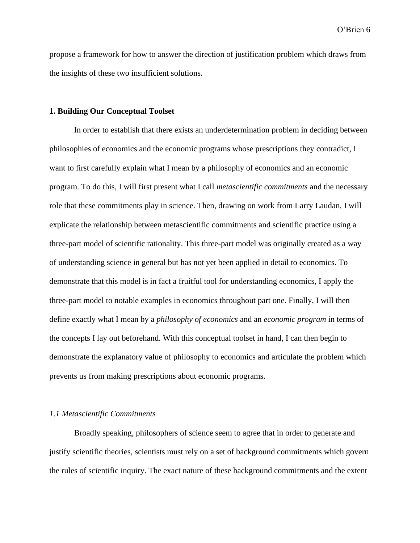propose a framework for how to answer the direction of justification problem which draws from the insights of these two insufficient solutions.

#### **1. Building Our Conceptual Toolset**

In order to establish that there exists an underdetermination problem in deciding between philosophies of economics and the economic programs whose prescriptions they contradict, I want to first carefully explain what I mean by a philosophy of economics and an economic program. To do this, I will first present what I call *metascientific commitments* and the necessary role that these commitments play in science. Then, drawing on work from Larry Laudan, I will explicate the relationship between metascientific commitments and scientific practice using a three-part model of scientific rationality. This three-part model was originally created as a way of understanding science in general but has not yet been applied in detail to economics. To demonstrate that this model is in fact a fruitful tool for understanding economics, I apply the three-part model to notable examples in economics throughout part one. Finally, I will then define exactly what I mean by a *philosophy of economics* and an *economic program* in terms of the concepts I lay out beforehand. With this conceptual toolset in hand, I can then begin to demonstrate the explanatory value of philosophy to economics and articulate the problem which prevents us from making prescriptions about economic programs.

#### *1.1 Metascientific Commitments*

Broadly speaking, philosophers of science seem to agree that in order to generate and justify scientific theories, scientists must rely on a set of background commitments which govern the rules of scientific inquiry. The exact nature of these background commitments and the extent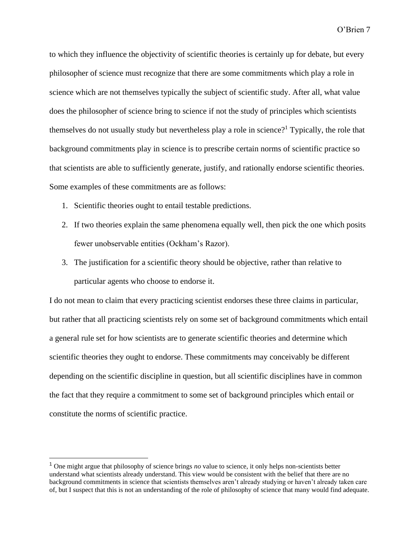to which they influence the objectivity of scientific theories is certainly up for debate, but every philosopher of science must recognize that there are some commitments which play a role in science which are not themselves typically the subject of scientific study. After all, what value does the philosopher of science bring to science if not the study of principles which scientists themselves do not usually study but nevertheless play a role in science?<sup>1</sup> Typically, the role that background commitments play in science is to prescribe certain norms of scientific practice so that scientists are able to sufficiently generate, justify, and rationally endorse scientific theories. Some examples of these commitments are as follows:

- 1. Scientific theories ought to entail testable predictions.
- 2. If two theories explain the same phenomena equally well, then pick the one which posits fewer unobservable entities (Ockham's Razor).
- 3. The justification for a scientific theory should be objective, rather than relative to particular agents who choose to endorse it.

I do not mean to claim that every practicing scientist endorses these three claims in particular, but rather that all practicing scientists rely on some set of background commitments which entail a general rule set for how scientists are to generate scientific theories and determine which scientific theories they ought to endorse. These commitments may conceivably be different depending on the scientific discipline in question, but all scientific disciplines have in common the fact that they require a commitment to some set of background principles which entail or constitute the norms of scientific practice.

<sup>1</sup> One might argue that philosophy of science brings *no* value to science, it only helps non-scientists better understand what scientists already understand. This view would be consistent with the belief that there are no background commitments in science that scientists themselves aren't already studying or haven't already taken care of, but I suspect that this is not an understanding of the role of philosophy of science that many would find adequate.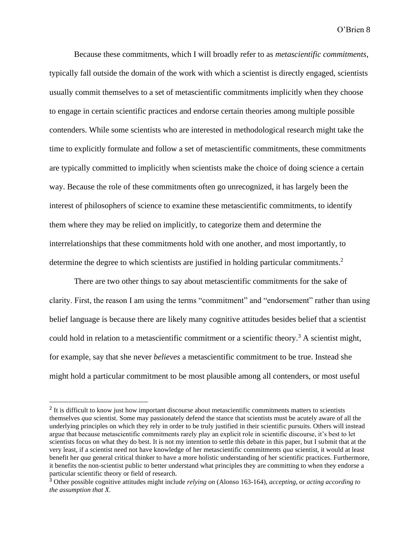Because these commitments, which I will broadly refer to as *metascientific commitments*, typically fall outside the domain of the work with which a scientist is directly engaged, scientists usually commit themselves to a set of metascientific commitments implicitly when they choose to engage in certain scientific practices and endorse certain theories among multiple possible contenders. While some scientists who are interested in methodological research might take the time to explicitly formulate and follow a set of metascientific commitments, these commitments are typically committed to implicitly when scientists make the choice of doing science a certain way. Because the role of these commitments often go unrecognized, it has largely been the interest of philosophers of science to examine these metascientific commitments, to identify them where they may be relied on implicitly, to categorize them and determine the interrelationships that these commitments hold with one another, and most importantly, to determine the degree to which scientists are justified in holding particular commitments.<sup>2</sup>

There are two other things to say about metascientific commitments for the sake of clarity. First, the reason I am using the terms "commitment" and "endorsement" rather than using belief language is because there are likely many cognitive attitudes besides belief that a scientist could hold in relation to a metascientific commitment or a scientific theory.<sup>3</sup> A scientist might, for example, say that she never *believes* a metascientific commitment to be true. Instead she might hold a particular commitment to be most plausible among all contenders, or most useful

<sup>&</sup>lt;sup>2</sup> It is difficult to know just how important discourse about metascientific commitments matters to scientists themselves *qua* scientist. Some may passionately defend the stance that scientists must be acutely aware of all the underlying principles on which they rely in order to be truly justified in their scientific pursuits. Others will instead argue that because metascientific commitments rarely play an explicit role in scientific discourse, it's best to let scientists focus on what they do best. It is not my intention to settle this debate in this paper, but I submit that at the very least, if a scientist need not have knowledge of her metascientific commitments *qua* scientist, it would at least benefit her *qua* general critical thinker to have a more holistic understanding of her scientific practices. Furthermore, it benefits the non-scientist public to better understand what principles they are committing to when they endorse a particular scientific theory or field of research.

<sup>3</sup> Other possible cognitive attitudes might include *relying on* (Alonso 163-164), *accepting*, or *acting according to the assumption that X*.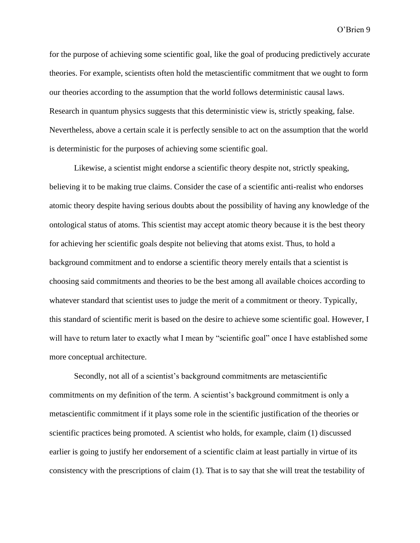for the purpose of achieving some scientific goal, like the goal of producing predictively accurate theories. For example, scientists often hold the metascientific commitment that we ought to form our theories according to the assumption that the world follows deterministic causal laws. Research in quantum physics suggests that this deterministic view is, strictly speaking, false. Nevertheless, above a certain scale it is perfectly sensible to act on the assumption that the world is deterministic for the purposes of achieving some scientific goal.

Likewise, a scientist might endorse a scientific theory despite not, strictly speaking, believing it to be making true claims. Consider the case of a scientific anti-realist who endorses atomic theory despite having serious doubts about the possibility of having any knowledge of the ontological status of atoms. This scientist may accept atomic theory because it is the best theory for achieving her scientific goals despite not believing that atoms exist. Thus, to hold a background commitment and to endorse a scientific theory merely entails that a scientist is choosing said commitments and theories to be the best among all available choices according to whatever standard that scientist uses to judge the merit of a commitment or theory. Typically, this standard of scientific merit is based on the desire to achieve some scientific goal. However, I will have to return later to exactly what I mean by "scientific goal" once I have established some more conceptual architecture.

Secondly, not all of a scientist's background commitments are metascientific commitments on my definition of the term. A scientist's background commitment is only a metascientific commitment if it plays some role in the scientific justification of the theories or scientific practices being promoted. A scientist who holds, for example, claim (1) discussed earlier is going to justify her endorsement of a scientific claim at least partially in virtue of its consistency with the prescriptions of claim (1). That is to say that she will treat the testability of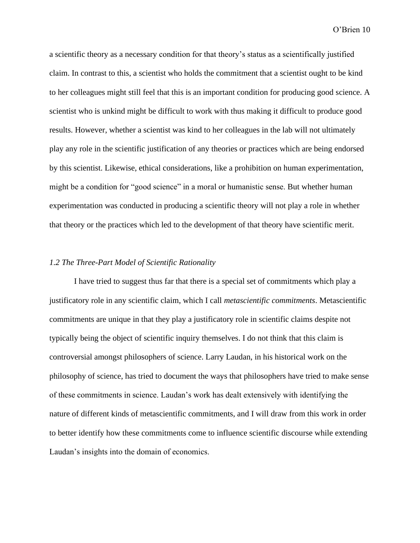a scientific theory as a necessary condition for that theory's status as a scientifically justified claim. In contrast to this, a scientist who holds the commitment that a scientist ought to be kind to her colleagues might still feel that this is an important condition for producing good science. A scientist who is unkind might be difficult to work with thus making it difficult to produce good results. However, whether a scientist was kind to her colleagues in the lab will not ultimately play any role in the scientific justification of any theories or practices which are being endorsed by this scientist. Likewise, ethical considerations, like a prohibition on human experimentation, might be a condition for "good science" in a moral or humanistic sense. But whether human experimentation was conducted in producing a scientific theory will not play a role in whether that theory or the practices which led to the development of that theory have scientific merit.

# *1.2 The Three-Part Model of Scientific Rationality*

I have tried to suggest thus far that there is a special set of commitments which play a justificatory role in any scientific claim, which I call *metascientific commitments*. Metascientific commitments are unique in that they play a justificatory role in scientific claims despite not typically being the object of scientific inquiry themselves. I do not think that this claim is controversial amongst philosophers of science. Larry Laudan, in his historical work on the philosophy of science, has tried to document the ways that philosophers have tried to make sense of these commitments in science. Laudan's work has dealt extensively with identifying the nature of different kinds of metascientific commitments, and I will draw from this work in order to better identify how these commitments come to influence scientific discourse while extending Laudan's insights into the domain of economics.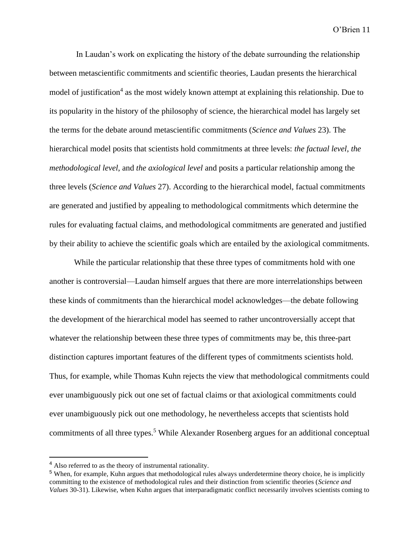In Laudan's work on explicating the history of the debate surrounding the relationship between metascientific commitments and scientific theories, Laudan presents the hierarchical model of justification<sup>4</sup> as the most widely known attempt at explaining this relationship. Due to its popularity in the history of the philosophy of science, the hierarchical model has largely set the terms for the debate around metascientific commitments (*Science and Values* 23). The hierarchical model posits that scientists hold commitments at three levels: *the factual level*, *the methodological level*, and *the axiological level* and posits a particular relationship among the three levels (*Science and Values* 27). According to the hierarchical model, factual commitments are generated and justified by appealing to methodological commitments which determine the rules for evaluating factual claims, and methodological commitments are generated and justified by their ability to achieve the scientific goals which are entailed by the axiological commitments.

While the particular relationship that these three types of commitments hold with one another is controversial—Laudan himself argues that there are more interrelationships between these kinds of commitments than the hierarchical model acknowledges—the debate following the development of the hierarchical model has seemed to rather uncontroversially accept that whatever the relationship between these three types of commitments may be, this three-part distinction captures important features of the different types of commitments scientists hold. Thus, for example, while Thomas Kuhn rejects the view that methodological commitments could ever unambiguously pick out one set of factual claims or that axiological commitments could ever unambiguously pick out one methodology, he nevertheless accepts that scientists hold commitments of all three types.<sup>5</sup> While Alexander Rosenberg argues for an additional conceptual

<sup>4</sup> Also referred to as the theory of instrumental rationality.

<sup>5</sup> When, for example, Kuhn argues that methodological rules always underdetermine theory choice, he is implicitly committing to the existence of methodological rules and their distinction from scientific theories (*Science and Values* 30-31). Likewise, when Kuhn argues that interparadigmatic conflict necessarily involves scientists coming to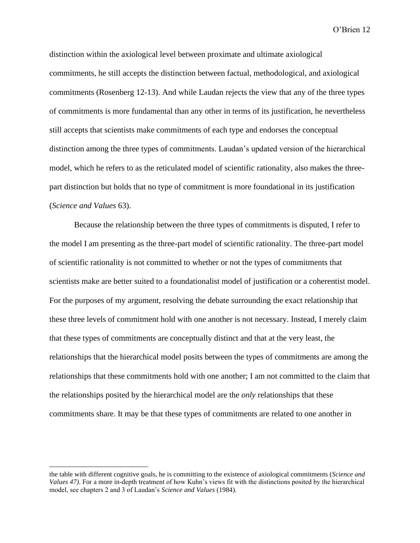distinction within the axiological level between proximate and ultimate axiological commitments, he still accepts the distinction between factual, methodological, and axiological commitments (Rosenberg 12-13). And while Laudan rejects the view that any of the three types of commitments is more fundamental than any other in terms of its justification, he nevertheless still accepts that scientists make commitments of each type and endorses the conceptual distinction among the three types of commitments. Laudan's updated version of the hierarchical model, which he refers to as the reticulated model of scientific rationality, also makes the threepart distinction but holds that no type of commitment is more foundational in its justification (*Science and Values* 63).

Because the relationship between the three types of commitments is disputed, I refer to the model I am presenting as the three-part model of scientific rationality. The three-part model of scientific rationality is not committed to whether or not the types of commitments that scientists make are better suited to a foundationalist model of justification or a coherentist model. For the purposes of my argument, resolving the debate surrounding the exact relationship that these three levels of commitment hold with one another is not necessary. Instead, I merely claim that these types of commitments are conceptually distinct and that at the very least, the relationships that the hierarchical model posits between the types of commitments are among the relationships that these commitments hold with one another; I am not committed to the claim that the relationships posited by the hierarchical model are the *only* relationships that these commitments share. It may be that these types of commitments are related to one another in

the table with different cognitive goals, he is committing to the existence of axiological commitments (*Science and Values 47)*. For a more in-depth treatment of how Kuhn's views fit with the distinctions posited by the hierarchical model, see chapters 2 and 3 of Laudan's *Science and Values* (1984).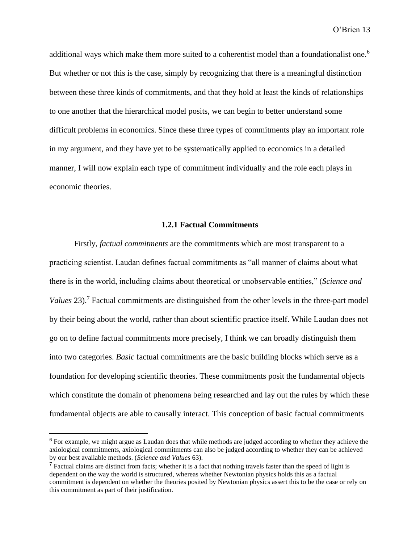additional ways which make them more suited to a coherentist model than a foundationalist one.<sup>6</sup> But whether or not this is the case, simply by recognizing that there is a meaningful distinction between these three kinds of commitments, and that they hold at least the kinds of relationships to one another that the hierarchical model posits, we can begin to better understand some difficult problems in economics. Since these three types of commitments play an important role in my argument, and they have yet to be systematically applied to economics in a detailed manner, I will now explain each type of commitment individually and the role each plays in economic theories.

# **1.2.1 Factual Commitments**

Firstly, *factual commitments* are the commitments which are most transparent to a practicing scientist. Laudan defines factual commitments as "all manner of claims about what there is in the world, including claims about theoretical or unobservable entities," (*Science and Values* 23).<sup>7</sup> Factual commitments are distinguished from the other levels in the three-part model by their being about the world, rather than about scientific practice itself. While Laudan does not go on to define factual commitments more precisely, I think we can broadly distinguish them into two categories. *Basic* factual commitments are the basic building blocks which serve as a foundation for developing scientific theories. These commitments posit the fundamental objects which constitute the domain of phenomena being researched and lay out the rules by which these fundamental objects are able to causally interact. This conception of basic factual commitments

<sup>&</sup>lt;sup>6</sup> For example, we might argue as Laudan does that while methods are judged according to whether they achieve the axiological commitments, axiological commitments can also be judged according to whether they can be achieved by our best available methods. (*Science and Values* 63).

<sup>&</sup>lt;sup>7</sup> Factual claims are distinct from facts; whether it is a fact that nothing travels faster than the speed of light is dependent on the way the world is structured, whereas whether Newtonian physics holds this as a factual commitment is dependent on whether the theories posited by Newtonian physics assert this to be the case or rely on this commitment as part of their justification.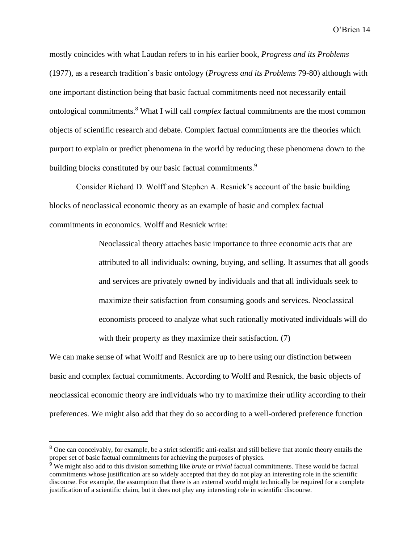mostly coincides with what Laudan refers to in his earlier book, *Progress and its Problems*  (1977), as a research tradition's basic ontology (*Progress and its Problems* 79-80) although with one important distinction being that basic factual commitments need not necessarily entail ontological commitments.<sup>8</sup> What I will call *complex* factual commitments are the most common objects of scientific research and debate. Complex factual commitments are the theories which purport to explain or predict phenomena in the world by reducing these phenomena down to the building blocks constituted by our basic factual commitments.<sup>9</sup>

Consider Richard D. Wolff and Stephen A. Resnick's account of the basic building blocks of neoclassical economic theory as an example of basic and complex factual commitments in economics. Wolff and Resnick write:

> Neoclassical theory attaches basic importance to three economic acts that are attributed to all individuals: owning, buying, and selling. It assumes that all goods and services are privately owned by individuals and that all individuals seek to maximize their satisfaction from consuming goods and services. Neoclassical economists proceed to analyze what such rationally motivated individuals will do with their property as they maximize their satisfaction. (7)

We can make sense of what Wolff and Resnick are up to here using our distinction between basic and complex factual commitments. According to Wolff and Resnick, the basic objects of neoclassical economic theory are individuals who try to maximize their utility according to their preferences. We might also add that they do so according to a well-ordered preference function

<sup>&</sup>lt;sup>8</sup> One can conceivably, for example, be a strict scientific anti-realist and still believe that atomic theory entails the proper set of basic factual commitments for achieving the purposes of physics.

<sup>9</sup> We might also add to this division something like *brute* or *trivial* factual commitments. These would be factual commitments whose justification are so widely accepted that they do not play an interesting role in the scientific discourse. For example, the assumption that there is an external world might technically be required for a complete justification of a scientific claim, but it does not play any interesting role in scientific discourse.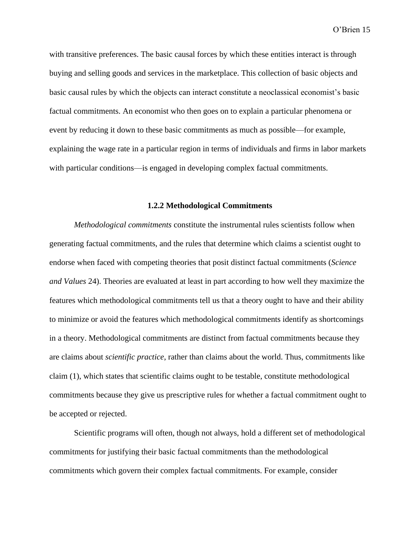with transitive preferences. The basic causal forces by which these entities interact is through buying and selling goods and services in the marketplace. This collection of basic objects and basic causal rules by which the objects can interact constitute a neoclassical economist's basic factual commitments. An economist who then goes on to explain a particular phenomena or event by reducing it down to these basic commitments as much as possible—for example, explaining the wage rate in a particular region in terms of individuals and firms in labor markets with particular conditions—is engaged in developing complex factual commitments.

# **1.2.2 Methodological Commitments**

*Methodological commitments* constitute the instrumental rules scientists follow when generating factual commitments, and the rules that determine which claims a scientist ought to endorse when faced with competing theories that posit distinct factual commitments (*Science and Values* 24). Theories are evaluated at least in part according to how well they maximize the features which methodological commitments tell us that a theory ought to have and their ability to minimize or avoid the features which methodological commitments identify as shortcomings in a theory. Methodological commitments are distinct from factual commitments because they are claims about *scientific practice*, rather than claims about the world. Thus, commitments like claim (1), which states that scientific claims ought to be testable, constitute methodological commitments because they give us prescriptive rules for whether a factual commitment ought to be accepted or rejected.

Scientific programs will often, though not always, hold a different set of methodological commitments for justifying their basic factual commitments than the methodological commitments which govern their complex factual commitments. For example, consider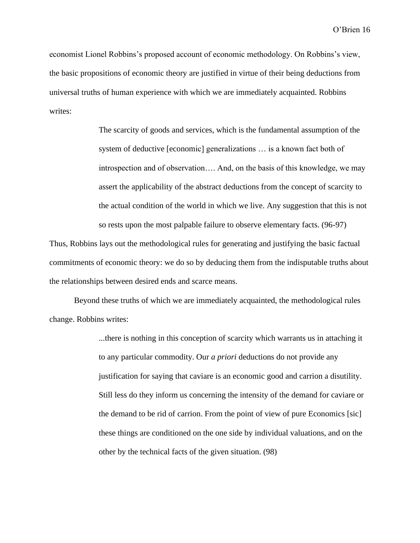economist Lionel Robbins's proposed account of economic methodology. On Robbins's view, the basic propositions of economic theory are justified in virtue of their being deductions from universal truths of human experience with which we are immediately acquainted. Robbins writes:

> The scarcity of goods and services, which is the fundamental assumption of the system of deductive [economic] generalizations … is a known fact both of introspection and of observation…. And, on the basis of this knowledge, we may assert the applicability of the abstract deductions from the concept of scarcity to the actual condition of the world in which we live. Any suggestion that this is not so rests upon the most palpable failure to observe elementary facts. (96-97)

Thus, Robbins lays out the methodological rules for generating and justifying the basic factual commitments of economic theory: we do so by deducing them from the indisputable truths about the relationships between desired ends and scarce means.

Beyond these truths of which we are immediately acquainted, the methodological rules change. Robbins writes:

> ...there is nothing in this conception of scarcity which warrants us in attaching it to any particular commodity. Our *a priori* deductions do not provide any justification for saying that caviare is an economic good and carrion a disutility. Still less do they inform us concerning the intensity of the demand for caviare or the demand to be rid of carrion. From the point of view of pure Economics [sic] these things are conditioned on the one side by individual valuations, and on the other by the technical facts of the given situation. (98)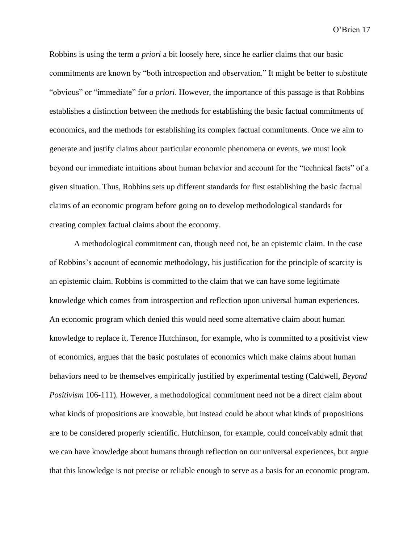Robbins is using the term *a priori* a bit loosely here, since he earlier claims that our basic commitments are known by "both introspection and observation." It might be better to substitute "obvious" or "immediate" for *a priori*. However, the importance of this passage is that Robbins establishes a distinction between the methods for establishing the basic factual commitments of economics, and the methods for establishing its complex factual commitments. Once we aim to generate and justify claims about particular economic phenomena or events, we must look beyond our immediate intuitions about human behavior and account for the "technical facts" of a given situation. Thus, Robbins sets up different standards for first establishing the basic factual claims of an economic program before going on to develop methodological standards for creating complex factual claims about the economy.

A methodological commitment can, though need not, be an epistemic claim. In the case of Robbins's account of economic methodology, his justification for the principle of scarcity is an epistemic claim. Robbins is committed to the claim that we can have some legitimate knowledge which comes from introspection and reflection upon universal human experiences. An economic program which denied this would need some alternative claim about human knowledge to replace it. Terence Hutchinson, for example, who is committed to a positivist view of economics, argues that the basic postulates of economics which make claims about human behaviors need to be themselves empirically justified by experimental testing (Caldwell, *Beyond Positivism* 106-111). However, a methodological commitment need not be a direct claim about what kinds of propositions are knowable, but instead could be about what kinds of propositions are to be considered properly scientific. Hutchinson, for example, could conceivably admit that we can have knowledge about humans through reflection on our universal experiences, but argue that this knowledge is not precise or reliable enough to serve as a basis for an economic program.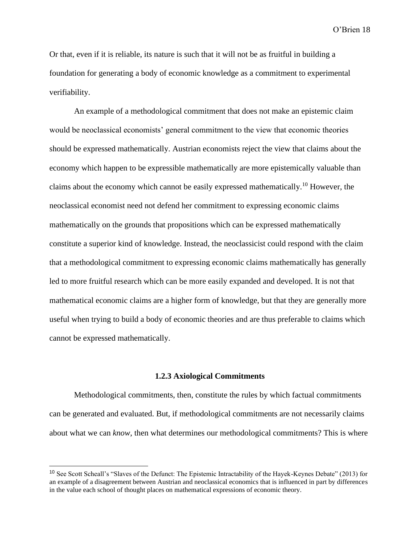Or that, even if it is reliable, its nature is such that it will not be as fruitful in building a foundation for generating a body of economic knowledge as a commitment to experimental verifiability.

An example of a methodological commitment that does not make an epistemic claim would be neoclassical economists' general commitment to the view that economic theories should be expressed mathematically. Austrian economists reject the view that claims about the economy which happen to be expressible mathematically are more epistemically valuable than claims about the economy which cannot be easily expressed mathematically.<sup>10</sup> However, the neoclassical economist need not defend her commitment to expressing economic claims mathematically on the grounds that propositions which can be expressed mathematically constitute a superior kind of knowledge. Instead, the neoclassicist could respond with the claim that a methodological commitment to expressing economic claims mathematically has generally led to more fruitful research which can be more easily expanded and developed. It is not that mathematical economic claims are a higher form of knowledge, but that they are generally more useful when trying to build a body of economic theories and are thus preferable to claims which cannot be expressed mathematically.

#### **1.2.3 Axiological Commitments**

Methodological commitments, then, constitute the rules by which factual commitments can be generated and evaluated. But, if methodological commitments are not necessarily claims about what we can *know*, then what determines our methodological commitments? This is where

<sup>&</sup>lt;sup>10</sup> See Scott Scheall's "Slaves of the Defunct: The Epistemic Intractability of the Hayek-Keynes Debate" (2013) for an example of a disagreement between Austrian and neoclassical economics that is influenced in part by differences in the value each school of thought places on mathematical expressions of economic theory.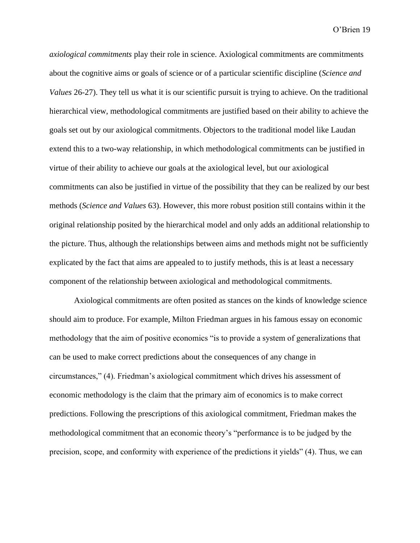*axiological commitments* play their role in science. Axiological commitments are commitments about the cognitive aims or goals of science or of a particular scientific discipline (*Science and Values* 26-27). They tell us what it is our scientific pursuit is trying to achieve. On the traditional hierarchical view, methodological commitments are justified based on their ability to achieve the goals set out by our axiological commitments. Objectors to the traditional model like Laudan extend this to a two-way relationship, in which methodological commitments can be justified in virtue of their ability to achieve our goals at the axiological level, but our axiological commitments can also be justified in virtue of the possibility that they can be realized by our best methods (*Science and Values* 63). However, this more robust position still contains within it the original relationship posited by the hierarchical model and only adds an additional relationship to the picture. Thus, although the relationships between aims and methods might not be sufficiently explicated by the fact that aims are appealed to to justify methods, this is at least a necessary component of the relationship between axiological and methodological commitments.

Axiological commitments are often posited as stances on the kinds of knowledge science should aim to produce. For example, Milton Friedman argues in his famous essay on economic methodology that the aim of positive economics "is to provide a system of generalizations that can be used to make correct predictions about the consequences of any change in circumstances," (4). Friedman's axiological commitment which drives his assessment of economic methodology is the claim that the primary aim of economics is to make correct predictions. Following the prescriptions of this axiological commitment, Friedman makes the methodological commitment that an economic theory's "performance is to be judged by the precision, scope, and conformity with experience of the predictions it yields" (4). Thus, we can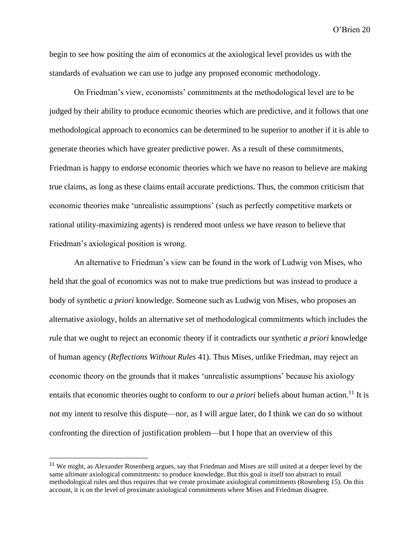begin to see how positing the aim of economics at the axiological level provides us with the standards of evaluation we can use to judge any proposed economic methodology.

On Friedman's view, economists' commitments at the methodological level are to be judged by their ability to produce economic theories which are predictive, and it follows that one methodological approach to economics can be determined to be superior to another if it is able to generate theories which have greater predictive power. As a result of these commitments, Friedman is happy to endorse economic theories which we have no reason to believe are making true claims, as long as these claims entail accurate predictions. Thus, the common criticism that economic theories make 'unrealistic assumptions' (such as perfectly competitive markets or rational utility-maximizing agents) is rendered moot unless we have reason to believe that Friedman's axiological position is wrong.

An alternative to Friedman's view can be found in the work of Ludwig von Mises, who held that the goal of economics was not to make true predictions but was instead to produce a body of synthetic *a priori* knowledge. Someone such as Ludwig von Mises, who proposes an alternative axiology, holds an alternative set of methodological commitments which includes the rule that we ought to reject an economic theory if it contradicts our synthetic *a priori* knowledge of human agency (*Reflections Without Rules* 41). Thus Mises, unlike Friedman, may reject an economic theory on the grounds that it makes 'unrealistic assumptions' because his axiology entails that economic theories ought to conform to our *a priori* beliefs about human action.<sup>11</sup> It is not my intent to resolve this dispute—nor, as I will argue later, do I think we can do so without confronting the direction of justification problem—but I hope that an overview of this

<sup>&</sup>lt;sup>11</sup> We might, as Alexander Rosenberg argues, say that Friedman and Mises are still united at a deeper level by the same *ultimate* axiological commitments: to produce knowledge. But this goal is itself too abstract to entail methodological rules and thus requires that we create proximate axiological commitments (Rosenberg 15). On this account, it is on the level of proximate axiological commitments where Mises and Friedman disagree.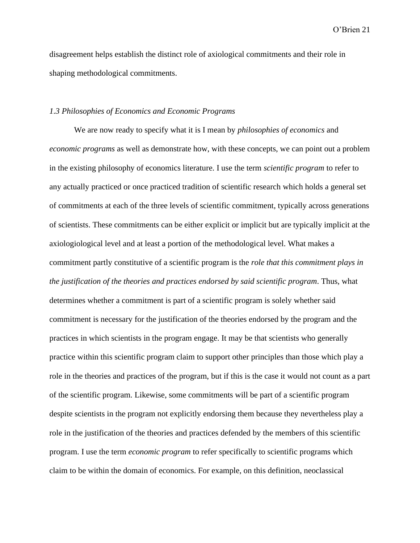disagreement helps establish the distinct role of axiological commitments and their role in shaping methodological commitments.

# *1.3 Philosophies of Economics and Economic Programs*

We are now ready to specify what it is I mean by *philosophies of economics* and *economic programs* as well as demonstrate how, with these concepts, we can point out a problem in the existing philosophy of economics literature. I use the term *scientific program* to refer to any actually practiced or once practiced tradition of scientific research which holds a general set of commitments at each of the three levels of scientific commitment, typically across generations of scientists. These commitments can be either explicit or implicit but are typically implicit at the axiologiological level and at least a portion of the methodological level. What makes a commitment partly constitutive of a scientific program is the *role that this commitment plays in the justification of the theories and practices endorsed by said scientific program*. Thus, what determines whether a commitment is part of a scientific program is solely whether said commitment is necessary for the justification of the theories endorsed by the program and the practices in which scientists in the program engage. It may be that scientists who generally practice within this scientific program claim to support other principles than those which play a role in the theories and practices of the program, but if this is the case it would not count as a part of the scientific program. Likewise, some commitments will be part of a scientific program despite scientists in the program not explicitly endorsing them because they nevertheless play a role in the justification of the theories and practices defended by the members of this scientific program. I use the term *economic program* to refer specifically to scientific programs which claim to be within the domain of economics. For example, on this definition, neoclassical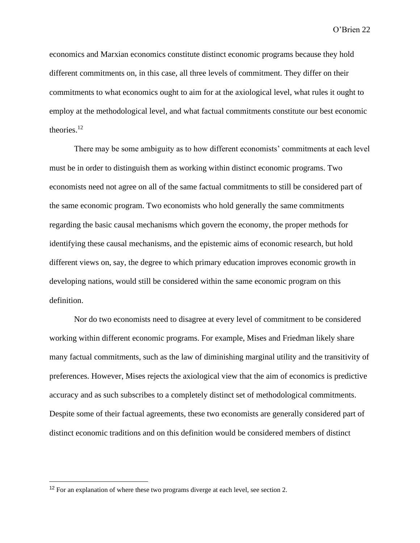economics and Marxian economics constitute distinct economic programs because they hold different commitments on, in this case, all three levels of commitment. They differ on their commitments to what economics ought to aim for at the axiological level, what rules it ought to employ at the methodological level, and what factual commitments constitute our best economic theories.<sup>12</sup>

There may be some ambiguity as to how different economists' commitments at each level must be in order to distinguish them as working within distinct economic programs. Two economists need not agree on all of the same factual commitments to still be considered part of the same economic program. Two economists who hold generally the same commitments regarding the basic causal mechanisms which govern the economy, the proper methods for identifying these causal mechanisms, and the epistemic aims of economic research, but hold different views on, say, the degree to which primary education improves economic growth in developing nations, would still be considered within the same economic program on this definition.

Nor do two economists need to disagree at every level of commitment to be considered working within different economic programs. For example, Mises and Friedman likely share many factual commitments, such as the law of diminishing marginal utility and the transitivity of preferences. However, Mises rejects the axiological view that the aim of economics is predictive accuracy and as such subscribes to a completely distinct set of methodological commitments. Despite some of their factual agreements, these two economists are generally considered part of distinct economic traditions and on this definition would be considered members of distinct

<sup>&</sup>lt;sup>12</sup> For an explanation of where these two programs diverge at each level, see section 2.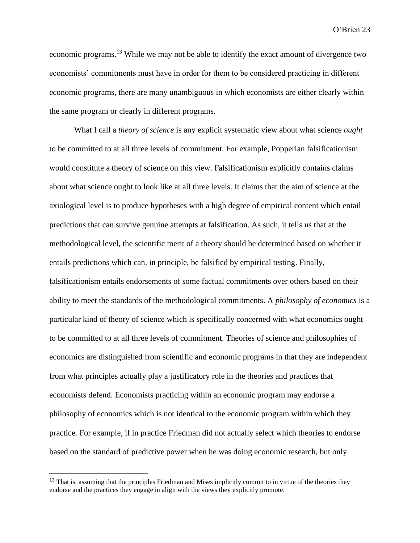economic programs.<sup>13</sup> While we may not be able to identify the exact amount of divergence two economists' commitments must have in order for them to be considered practicing in different economic programs, there are many unambiguous in which economists are either clearly within the same program or clearly in different programs.

What I call a *theory of science* is any explicit systematic view about what science *ought*  to be committed to at all three levels of commitment. For example, Popperian falsificationism would constitute a theory of science on this view. Falsificationism explicitly contains claims about what science ought to look like at all three levels. It claims that the aim of science at the axiological level is to produce hypotheses with a high degree of empirical content which entail predictions that can survive genuine attempts at falsification. As such, it tells us that at the methodological level, the scientific merit of a theory should be determined based on whether it entails predictions which can, in principle, be falsified by empirical testing. Finally, falsificationism entails endorsements of some factual commitments over others based on their ability to meet the standards of the methodological commitments. A *philosophy of economics* is a particular kind of theory of science which is specifically concerned with what economics ought to be committed to at all three levels of commitment. Theories of science and philosophies of economics are distinguished from scientific and economic programs in that they are independent from what principles actually play a justificatory role in the theories and practices that economists defend. Economists practicing within an economic program may endorse a philosophy of economics which is not identical to the economic program within which they practice. For example, if in practice Friedman did not actually select which theories to endorse based on the standard of predictive power when he was doing economic research, but only

<sup>&</sup>lt;sup>13</sup> That is, assuming that the principles Friedman and Mises implicitly commit to in virtue of the theories they endorse and the practices they engage in align with the views they explicitly promote.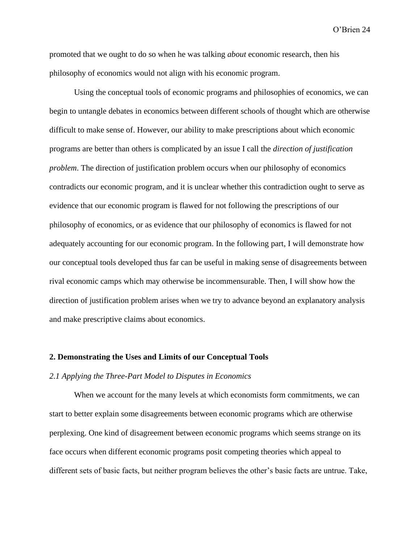promoted that we ought to do so when he was talking *about* economic research, then his philosophy of economics would not align with his economic program.

Using the conceptual tools of economic programs and philosophies of economics, we can begin to untangle debates in economics between different schools of thought which are otherwise difficult to make sense of. However, our ability to make prescriptions about which economic programs are better than others is complicated by an issue I call the *direction of justification problem*. The direction of justification problem occurs when our philosophy of economics contradicts our economic program, and it is unclear whether this contradiction ought to serve as evidence that our economic program is flawed for not following the prescriptions of our philosophy of economics, or as evidence that our philosophy of economics is flawed for not adequately accounting for our economic program. In the following part, I will demonstrate how our conceptual tools developed thus far can be useful in making sense of disagreements between rival economic camps which may otherwise be incommensurable. Then, I will show how the direction of justification problem arises when we try to advance beyond an explanatory analysis and make prescriptive claims about economics.

# **2. Demonstrating the Uses and Limits of our Conceptual Tools**

# *2.1 Applying the Three-Part Model to Disputes in Economics*

When we account for the many levels at which economists form commitments, we can start to better explain some disagreements between economic programs which are otherwise perplexing. One kind of disagreement between economic programs which seems strange on its face occurs when different economic programs posit competing theories which appeal to different sets of basic facts, but neither program believes the other's basic facts are untrue. Take,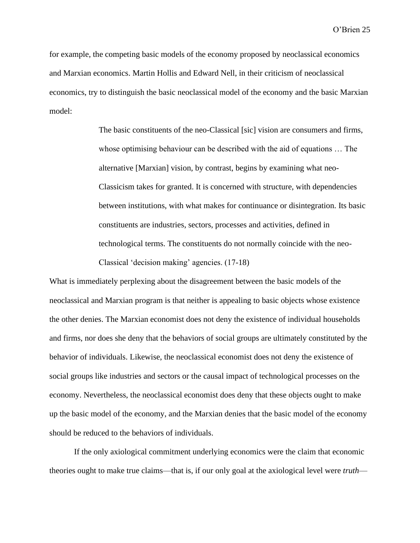for example, the competing basic models of the economy proposed by neoclassical economics and Marxian economics. Martin Hollis and Edward Nell, in their criticism of neoclassical economics, try to distinguish the basic neoclassical model of the economy and the basic Marxian model:

> The basic constituents of the neo-Classical [sic] vision are consumers and firms, whose optimising behaviour can be described with the aid of equations … The alternative [Marxian] vision, by contrast, begins by examining what neo-Classicism takes for granted. It is concerned with structure, with dependencies between institutions, with what makes for continuance or disintegration. Its basic constituents are industries, sectors, processes and activities, defined in technological terms. The constituents do not normally coincide with the neo-Classical 'decision making' agencies. (17-18)

What is immediately perplexing about the disagreement between the basic models of the neoclassical and Marxian program is that neither is appealing to basic objects whose existence the other denies. The Marxian economist does not deny the existence of individual households and firms, nor does she deny that the behaviors of social groups are ultimately constituted by the behavior of individuals. Likewise, the neoclassical economist does not deny the existence of social groups like industries and sectors or the causal impact of technological processes on the economy. Nevertheless, the neoclassical economist does deny that these objects ought to make up the basic model of the economy, and the Marxian denies that the basic model of the economy should be reduced to the behaviors of individuals.

If the only axiological commitment underlying economics were the claim that economic theories ought to make true claims—that is, if our only goal at the axiological level were *truth*—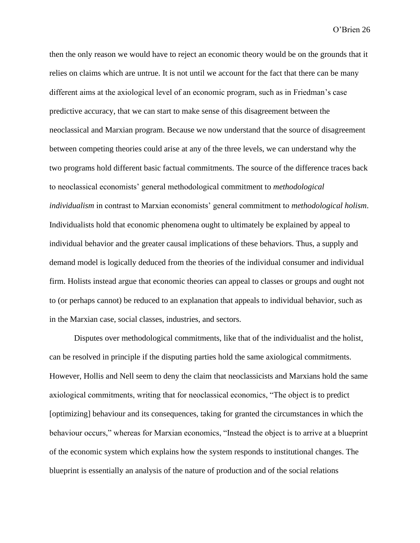then the only reason we would have to reject an economic theory would be on the grounds that it relies on claims which are untrue. It is not until we account for the fact that there can be many different aims at the axiological level of an economic program, such as in Friedman's case predictive accuracy, that we can start to make sense of this disagreement between the neoclassical and Marxian program. Because we now understand that the source of disagreement between competing theories could arise at any of the three levels, we can understand why the two programs hold different basic factual commitments. The source of the difference traces back to neoclassical economists' general methodological commitment to *methodological individualism* in contrast to Marxian economists' general commitment to *methodological holism*. Individualists hold that economic phenomena ought to ultimately be explained by appeal to individual behavior and the greater causal implications of these behaviors. Thus, a supply and demand model is logically deduced from the theories of the individual consumer and individual firm. Holists instead argue that economic theories can appeal to classes or groups and ought not to (or perhaps cannot) be reduced to an explanation that appeals to individual behavior, such as in the Marxian case, social classes, industries, and sectors.

Disputes over methodological commitments, like that of the individualist and the holist, can be resolved in principle if the disputing parties hold the same axiological commitments. However, Hollis and Nell seem to deny the claim that neoclassicists and Marxians hold the same axiological commitments, writing that for neoclassical economics, "The object is to predict [optimizing] behaviour and its consequences, taking for granted the circumstances in which the behaviour occurs," whereas for Marxian economics, "Instead the object is to arrive at a blueprint of the economic system which explains how the system responds to institutional changes. The blueprint is essentially an analysis of the nature of production and of the social relations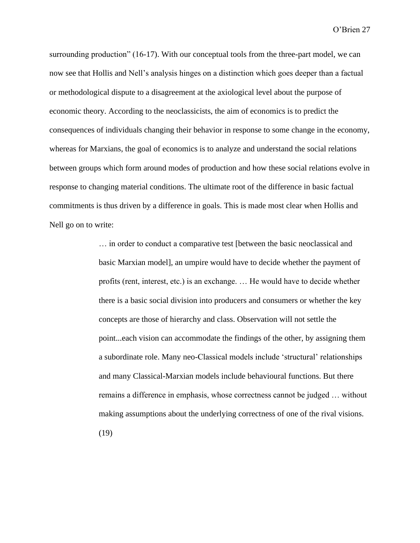surrounding production" (16-17). With our conceptual tools from the three-part model, we can now see that Hollis and Nell's analysis hinges on a distinction which goes deeper than a factual or methodological dispute to a disagreement at the axiological level about the purpose of economic theory. According to the neoclassicists, the aim of economics is to predict the consequences of individuals changing their behavior in response to some change in the economy, whereas for Marxians, the goal of economics is to analyze and understand the social relations between groups which form around modes of production and how these social relations evolve in response to changing material conditions. The ultimate root of the difference in basic factual commitments is thus driven by a difference in goals. This is made most clear when Hollis and Nell go on to write:

> … in order to conduct a comparative test [between the basic neoclassical and basic Marxian model], an umpire would have to decide whether the payment of profits (rent, interest, etc.) is an exchange. … He would have to decide whether there is a basic social division into producers and consumers or whether the key concepts are those of hierarchy and class. Observation will not settle the point...each vision can accommodate the findings of the other, by assigning them a subordinate role. Many neo-Classical models include 'structural' relationships and many Classical-Marxian models include behavioural functions. But there remains a difference in emphasis, whose correctness cannot be judged … without making assumptions about the underlying correctness of one of the rival visions. (19)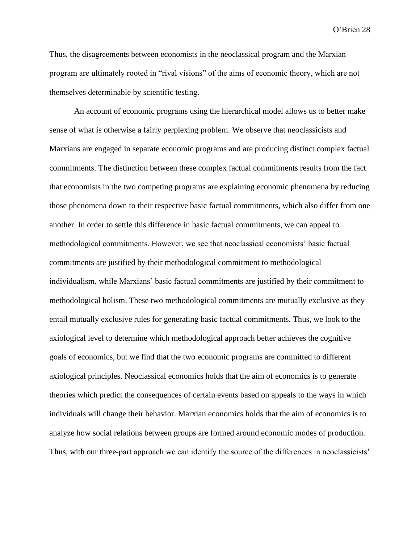Thus, the disagreements between economists in the neoclassical program and the Marxian program are ultimately rooted in "rival visions" of the aims of economic theory, which are not themselves determinable by scientific testing.

An account of economic programs using the hierarchical model allows us to better make sense of what is otherwise a fairly perplexing problem. We observe that neoclassicists and Marxians are engaged in separate economic programs and are producing distinct complex factual commitments. The distinction between these complex factual commitments results from the fact that economists in the two competing programs are explaining economic phenomena by reducing those phenomena down to their respective basic factual commitments, which also differ from one another. In order to settle this difference in basic factual commitments, we can appeal to methodological commitments. However, we see that neoclassical economists' basic factual commitments are justified by their methodological commitment to methodological individualism, while Marxians' basic factual commitments are justified by their commitment to methodological holism. These two methodological commitments are mutually exclusive as they entail mutually exclusive rules for generating basic factual commitments. Thus, we look to the axiological level to determine which methodological approach better achieves the cognitive goals of economics, but we find that the two economic programs are committed to different axiological principles. Neoclassical economics holds that the aim of economics is to generate theories which predict the consequences of certain events based on appeals to the ways in which individuals will change their behavior. Marxian economics holds that the aim of economics is to analyze how social relations between groups are formed around economic modes of production. Thus, with our three-part approach we can identify the source of the differences in neoclassicists'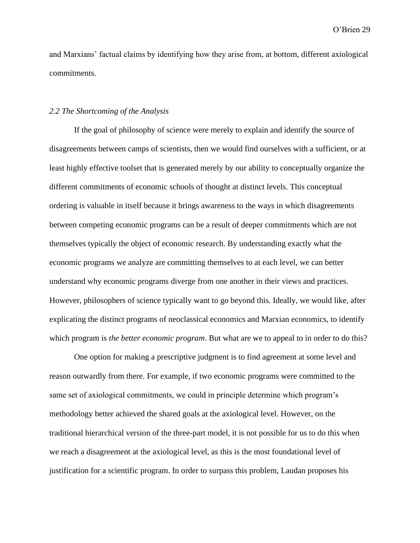and Marxians' factual claims by identifying how they arise from, at bottom, different axiological commitments.

# *2.2 The Shortcoming of the Analysis*

If the goal of philosophy of science were merely to explain and identify the source of disagreements between camps of scientists, then we would find ourselves with a sufficient, or at least highly effective toolset that is generated merely by our ability to conceptually organize the different commitments of economic schools of thought at distinct levels. This conceptual ordering is valuable in itself because it brings awareness to the ways in which disagreements between competing economic programs can be a result of deeper commitments which are not themselves typically the object of economic research. By understanding exactly what the economic programs we analyze are committing themselves to at each level, we can better understand why economic programs diverge from one another in their views and practices. However, philosophers of science typically want to go beyond this. Ideally, we would like, after explicating the distinct programs of neoclassical economics and Marxian economics, to identify which program is *the better economic program*. But what are we to appeal to in order to do this?

One option for making a prescriptive judgment is to find agreement at some level and reason outwardly from there. For example, if two economic programs were committed to the same set of axiological commitments, we could in principle determine which program's methodology better achieved the shared goals at the axiological level. However, on the traditional hierarchical version of the three-part model, it is not possible for us to do this when we reach a disagreement at the axiological level, as this is the most foundational level of justification for a scientific program. In order to surpass this problem, Laudan proposes his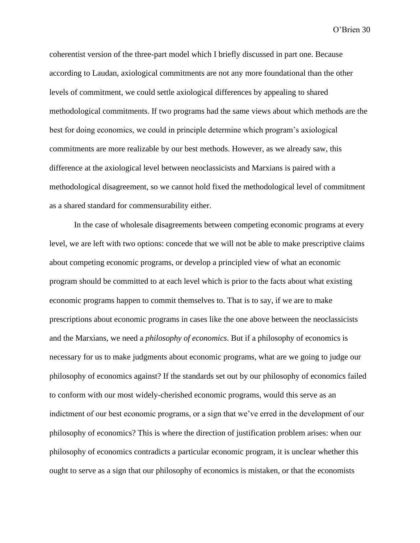coherentist version of the three-part model which I briefly discussed in part one. Because according to Laudan, axiological commitments are not any more foundational than the other levels of commitment, we could settle axiological differences by appealing to shared methodological commitments. If two programs had the same views about which methods are the best for doing economics, we could in principle determine which program's axiological commitments are more realizable by our best methods. However, as we already saw, this difference at the axiological level between neoclassicists and Marxians is paired with a methodological disagreement, so we cannot hold fixed the methodological level of commitment as a shared standard for commensurability either.

In the case of wholesale disagreements between competing economic programs at every level, we are left with two options: concede that we will not be able to make prescriptive claims about competing economic programs, or develop a principled view of what an economic program should be committed to at each level which is prior to the facts about what existing economic programs happen to commit themselves to. That is to say, if we are to make prescriptions about economic programs in cases like the one above between the neoclassicists and the Marxians, we need a *philosophy of economics*. But if a philosophy of economics is necessary for us to make judgments about economic programs, what are we going to judge our philosophy of economics against? If the standards set out by our philosophy of economics failed to conform with our most widely-cherished economic programs, would this serve as an indictment of our best economic programs, or a sign that we've erred in the development of our philosophy of economics? This is where the direction of justification problem arises: when our philosophy of economics contradicts a particular economic program, it is unclear whether this ought to serve as a sign that our philosophy of economics is mistaken, or that the economists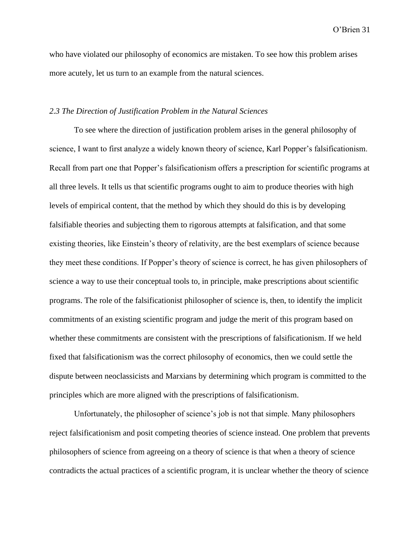who have violated our philosophy of economics are mistaken. To see how this problem arises more acutely, let us turn to an example from the natural sciences.

# *2.3 The Direction of Justification Problem in the Natural Sciences*

To see where the direction of justification problem arises in the general philosophy of science, I want to first analyze a widely known theory of science, Karl Popper's falsificationism. Recall from part one that Popper's falsificationism offers a prescription for scientific programs at all three levels. It tells us that scientific programs ought to aim to produce theories with high levels of empirical content, that the method by which they should do this is by developing falsifiable theories and subjecting them to rigorous attempts at falsification, and that some existing theories, like Einstein's theory of relativity, are the best exemplars of science because they meet these conditions. If Popper's theory of science is correct, he has given philosophers of science a way to use their conceptual tools to, in principle, make prescriptions about scientific programs. The role of the falsificationist philosopher of science is, then, to identify the implicit commitments of an existing scientific program and judge the merit of this program based on whether these commitments are consistent with the prescriptions of falsificationism. If we held fixed that falsificationism was the correct philosophy of economics, then we could settle the dispute between neoclassicists and Marxians by determining which program is committed to the principles which are more aligned with the prescriptions of falsificationism.

Unfortunately, the philosopher of science's job is not that simple. Many philosophers reject falsificationism and posit competing theories of science instead. One problem that prevents philosophers of science from agreeing on a theory of science is that when a theory of science contradicts the actual practices of a scientific program, it is unclear whether the theory of science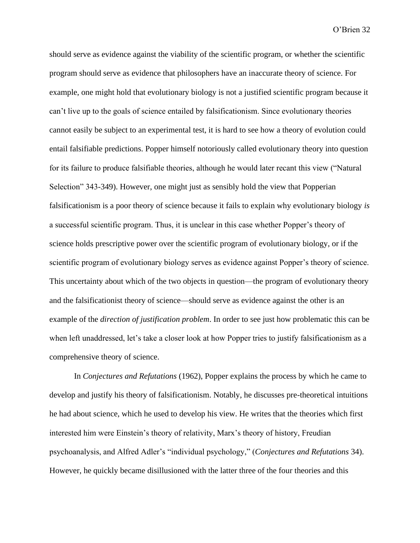should serve as evidence against the viability of the scientific program, or whether the scientific program should serve as evidence that philosophers have an inaccurate theory of science. For example, one might hold that evolutionary biology is not a justified scientific program because it can't live up to the goals of science entailed by falsificationism. Since evolutionary theories cannot easily be subject to an experimental test, it is hard to see how a theory of evolution could entail falsifiable predictions. Popper himself notoriously called evolutionary theory into question for its failure to produce falsifiable theories, although he would later recant this view ("Natural Selection" 343-349). However, one might just as sensibly hold the view that Popperian falsificationism is a poor theory of science because it fails to explain why evolutionary biology *is* a successful scientific program. Thus, it is unclear in this case whether Popper's theory of science holds prescriptive power over the scientific program of evolutionary biology, or if the scientific program of evolutionary biology serves as evidence against Popper's theory of science. This uncertainty about which of the two objects in question—the program of evolutionary theory and the falsificationist theory of science—should serve as evidence against the other is an example of the *direction of justification problem*. In order to see just how problematic this can be when left unaddressed, let's take a closer look at how Popper tries to justify falsificationism as a comprehensive theory of science.

In *Conjectures and Refutations* (1962), Popper explains the process by which he came to develop and justify his theory of falsificationism. Notably, he discusses pre-theoretical intuitions he had about science, which he used to develop his view. He writes that the theories which first interested him were Einstein's theory of relativity, Marx's theory of history, Freudian psychoanalysis, and Alfred Adler's "individual psychology," (*Conjectures and Refutations* 34). However, he quickly became disillusioned with the latter three of the four theories and this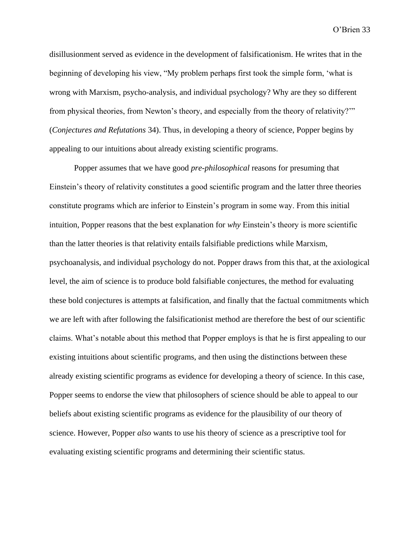disillusionment served as evidence in the development of falsificationism. He writes that in the beginning of developing his view, "My problem perhaps first took the simple form, 'what is wrong with Marxism, psycho-analysis, and individual psychology? Why are they so different from physical theories, from Newton's theory, and especially from the theory of relativity?'" (*Conjectures and Refutations* 34). Thus, in developing a theory of science, Popper begins by appealing to our intuitions about already existing scientific programs.

Popper assumes that we have good *pre-philosophical* reasons for presuming that Einstein's theory of relativity constitutes a good scientific program and the latter three theories constitute programs which are inferior to Einstein's program in some way. From this initial intuition, Popper reasons that the best explanation for *why* Einstein's theory is more scientific than the latter theories is that relativity entails falsifiable predictions while Marxism, psychoanalysis, and individual psychology do not. Popper draws from this that, at the axiological level, the aim of science is to produce bold falsifiable conjectures, the method for evaluating these bold conjectures is attempts at falsification, and finally that the factual commitments which we are left with after following the falsificationist method are therefore the best of our scientific claims. What's notable about this method that Popper employs is that he is first appealing to our existing intuitions about scientific programs, and then using the distinctions between these already existing scientific programs as evidence for developing a theory of science. In this case, Popper seems to endorse the view that philosophers of science should be able to appeal to our beliefs about existing scientific programs as evidence for the plausibility of our theory of science. However, Popper *also* wants to use his theory of science as a prescriptive tool for evaluating existing scientific programs and determining their scientific status.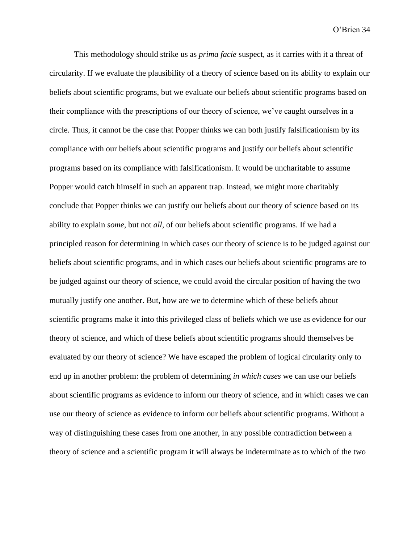This methodology should strike us as *prima facie* suspect, as it carries with it a threat of circularity. If we evaluate the plausibility of a theory of science based on its ability to explain our beliefs about scientific programs, but we evaluate our beliefs about scientific programs based on their compliance with the prescriptions of our theory of science, we've caught ourselves in a circle. Thus, it cannot be the case that Popper thinks we can both justify falsificationism by its compliance with our beliefs about scientific programs and justify our beliefs about scientific programs based on its compliance with falsificationism. It would be uncharitable to assume Popper would catch himself in such an apparent trap. Instead, we might more charitably conclude that Popper thinks we can justify our beliefs about our theory of science based on its ability to explain *some*, but not *all*, of our beliefs about scientific programs. If we had a principled reason for determining in which cases our theory of science is to be judged against our beliefs about scientific programs, and in which cases our beliefs about scientific programs are to be judged against our theory of science, we could avoid the circular position of having the two mutually justify one another. But, how are we to determine which of these beliefs about scientific programs make it into this privileged class of beliefs which we use as evidence for our theory of science, and which of these beliefs about scientific programs should themselves be evaluated by our theory of science? We have escaped the problem of logical circularity only to end up in another problem: the problem of determining *in which cases* we can use our beliefs about scientific programs as evidence to inform our theory of science, and in which cases we can use our theory of science as evidence to inform our beliefs about scientific programs. Without a way of distinguishing these cases from one another, in any possible contradiction between a theory of science and a scientific program it will always be indeterminate as to which of the two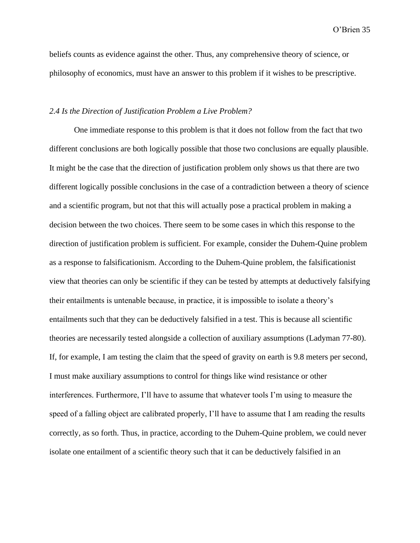beliefs counts as evidence against the other. Thus, any comprehensive theory of science, or philosophy of economics, must have an answer to this problem if it wishes to be prescriptive.

# *2.4 Is the Direction of Justification Problem a Live Problem?*

One immediate response to this problem is that it does not follow from the fact that two different conclusions are both logically possible that those two conclusions are equally plausible. It might be the case that the direction of justification problem only shows us that there are two different logically possible conclusions in the case of a contradiction between a theory of science and a scientific program, but not that this will actually pose a practical problem in making a decision between the two choices. There seem to be some cases in which this response to the direction of justification problem is sufficient. For example, consider the Duhem-Quine problem as a response to falsificationism. According to the Duhem-Quine problem, the falsificationist view that theories can only be scientific if they can be tested by attempts at deductively falsifying their entailments is untenable because, in practice, it is impossible to isolate a theory's entailments such that they can be deductively falsified in a test. This is because all scientific theories are necessarily tested alongside a collection of auxiliary assumptions (Ladyman 77-80). If, for example, I am testing the claim that the speed of gravity on earth is 9.8 meters per second, I must make auxiliary assumptions to control for things like wind resistance or other interferences. Furthermore, I'll have to assume that whatever tools I'm using to measure the speed of a falling object are calibrated properly, I'll have to assume that I am reading the results correctly, as so forth. Thus, in practice, according to the Duhem-Quine problem, we could never isolate one entailment of a scientific theory such that it can be deductively falsified in an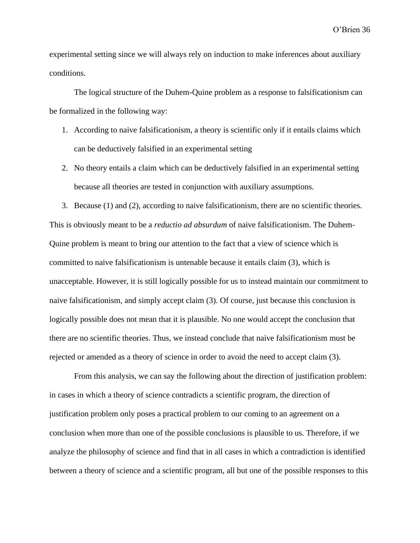experimental setting since we will always rely on induction to make inferences about auxiliary conditions.

The logical structure of the Duhem-Quine problem as a response to falsificationism can be formalized in the following way:

- 1. According to naive falsificationism, a theory is scientific only if it entails claims which can be deductively falsified in an experimental setting
- 2. No theory entails a claim which can be deductively falsified in an experimental setting because all theories are tested in conjunction with auxiliary assumptions.

3. Because (1) and (2), according to naive falsificationism, there are no scientific theories. This is obviously meant to be a *reductio ad absurdum* of naive falsificationism. The Duhem-Quine problem is meant to bring our attention to the fact that a view of science which is committed to naive falsificationism is untenable because it entails claim (3), which is unacceptable. However, it is still logically possible for us to instead maintain our commitment to naive falsificationism, and simply accept claim (3). Of course, just because this conclusion is logically possible does not mean that it is plausible. No one would accept the conclusion that there are no scientific theories. Thus, we instead conclude that naive falsificationism must be rejected or amended as a theory of science in order to avoid the need to accept claim (3).

From this analysis, we can say the following about the direction of justification problem: in cases in which a theory of science contradicts a scientific program, the direction of justification problem only poses a practical problem to our coming to an agreement on a conclusion when more than one of the possible conclusions is plausible to us. Therefore, if we analyze the philosophy of science and find that in all cases in which a contradiction is identified between a theory of science and a scientific program, all but one of the possible responses to this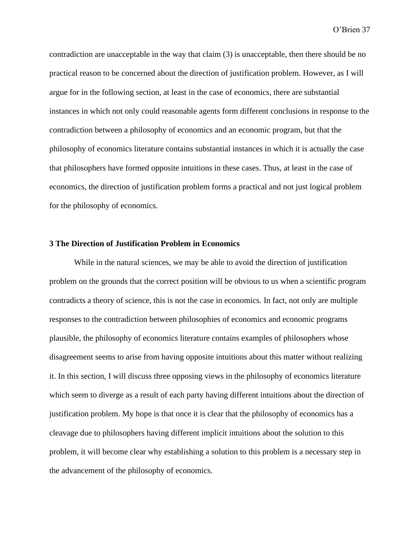contradiction are unacceptable in the way that claim (3) is unacceptable, then there should be no practical reason to be concerned about the direction of justification problem. However, as I will argue for in the following section, at least in the case of economics, there are substantial instances in which not only could reasonable agents form different conclusions in response to the contradiction between a philosophy of economics and an economic program, but that the philosophy of economics literature contains substantial instances in which it is actually the case that philosophers have formed opposite intuitions in these cases. Thus, at least in the case of economics, the direction of justification problem forms a practical and not just logical problem for the philosophy of economics.

# **3 The Direction of Justification Problem in Economics**

While in the natural sciences, we may be able to avoid the direction of justification problem on the grounds that the correct position will be obvious to us when a scientific program contradicts a theory of science, this is not the case in economics. In fact, not only are multiple responses to the contradiction between philosophies of economics and economic programs plausible, the philosophy of economics literature contains examples of philosophers whose disagreement seems to arise from having opposite intuitions about this matter without realizing it. In this section, I will discuss three opposing views in the philosophy of economics literature which seem to diverge as a result of each party having different intuitions about the direction of justification problem. My hope is that once it is clear that the philosophy of economics has a cleavage due to philosophers having different implicit intuitions about the solution to this problem, it will become clear why establishing a solution to this problem is a necessary step in the advancement of the philosophy of economics.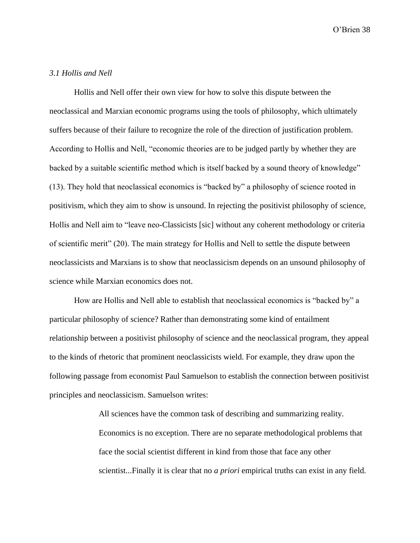# *3.1 Hollis and Nell*

Hollis and Nell offer their own view for how to solve this dispute between the neoclassical and Marxian economic programs using the tools of philosophy, which ultimately suffers because of their failure to recognize the role of the direction of justification problem. According to Hollis and Nell, "economic theories are to be judged partly by whether they are backed by a suitable scientific method which is itself backed by a sound theory of knowledge" (13). They hold that neoclassical economics is "backed by" a philosophy of science rooted in positivism, which they aim to show is unsound. In rejecting the positivist philosophy of science, Hollis and Nell aim to "leave neo-Classicists [sic] without any coherent methodology or criteria of scientific merit" (20). The main strategy for Hollis and Nell to settle the dispute between neoclassicists and Marxians is to show that neoclassicism depends on an unsound philosophy of science while Marxian economics does not.

How are Hollis and Nell able to establish that neoclassical economics is "backed by" a particular philosophy of science? Rather than demonstrating some kind of entailment relationship between a positivist philosophy of science and the neoclassical program, they appeal to the kinds of rhetoric that prominent neoclassicists wield. For example, they draw upon the following passage from economist Paul Samuelson to establish the connection between positivist principles and neoclassicism. Samuelson writes:

> All sciences have the common task of describing and summarizing reality. Economics is no exception. There are no separate methodological problems that face the social scientist different in kind from those that face any other scientist...Finally it is clear that no *a priori* empirical truths can exist in any field.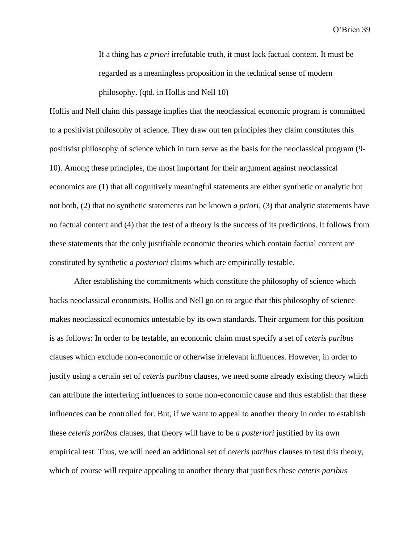If a thing has *a priori* irrefutable truth, it must lack factual content. It must be regarded as a meaningless proposition in the technical sense of modern philosophy. (qtd. in Hollis and Nell 10)

Hollis and Nell claim this passage implies that the neoclassical economic program is committed to a positivist philosophy of science. They draw out ten principles they claim constitutes this positivist philosophy of science which in turn serve as the basis for the neoclassical program (9- 10). Among these principles, the most important for their argument against neoclassical economics are (1) that all cognitively meaningful statements are either synthetic or analytic but not both, (2) that no synthetic statements can be known *a priori*, (3) that analytic statements have no factual content and (4) that the test of a theory is the success of its predictions. It follows from these statements that the only justifiable economic theories which contain factual content are constituted by synthetic *a posteriori* claims which are empirically testable.

After establishing the commitments which constitute the philosophy of science which backs neoclassical economists, Hollis and Nell go on to argue that this philosophy of science makes neoclassical economics untestable by its own standards. Their argument for this position is as follows: In order to be testable, an economic claim must specify a set of *ceteris paribus*  clauses which exclude non-economic or otherwise irrelevant influences. However, in order to justify using a certain set of *ceteris paribus* clauses, we need some already existing theory which can attribute the interfering influences to some non-economic cause and thus establish that these influences can be controlled for. But, if we want to appeal to another theory in order to establish these *ceteris paribus* clauses, that theory will have to be *a posteriori* justified by its own empirical test. Thus, we will need an additional set of *ceteris paribus* clauses to test this theory, which of course will require appealing to another theory that justifies these *ceteris paribus*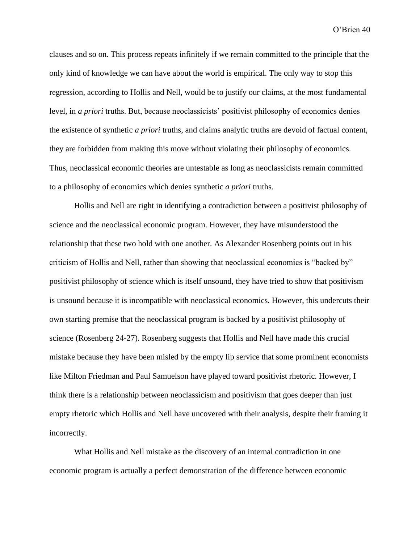clauses and so on. This process repeats infinitely if we remain committed to the principle that the only kind of knowledge we can have about the world is empirical. The only way to stop this regression, according to Hollis and Nell, would be to justify our claims, at the most fundamental level, in *a priori* truths. But, because neoclassicists' positivist philosophy of economics denies the existence of synthetic *a priori* truths, and claims analytic truths are devoid of factual content, they are forbidden from making this move without violating their philosophy of economics. Thus, neoclassical economic theories are untestable as long as neoclassicists remain committed to a philosophy of economics which denies synthetic *a priori* truths.

Hollis and Nell are right in identifying a contradiction between a positivist philosophy of science and the neoclassical economic program. However, they have misunderstood the relationship that these two hold with one another. As Alexander Rosenberg points out in his criticism of Hollis and Nell, rather than showing that neoclassical economics is "backed by" positivist philosophy of science which is itself unsound, they have tried to show that positivism is unsound because it is incompatible with neoclassical economics. However, this undercuts their own starting premise that the neoclassical program is backed by a positivist philosophy of science (Rosenberg 24-27). Rosenberg suggests that Hollis and Nell have made this crucial mistake because they have been misled by the empty lip service that some prominent economists like Milton Friedman and Paul Samuelson have played toward positivist rhetoric. However, I think there is a relationship between neoclassicism and positivism that goes deeper than just empty rhetoric which Hollis and Nell have uncovered with their analysis, despite their framing it incorrectly.

What Hollis and Nell mistake as the discovery of an internal contradiction in one economic program is actually a perfect demonstration of the difference between economic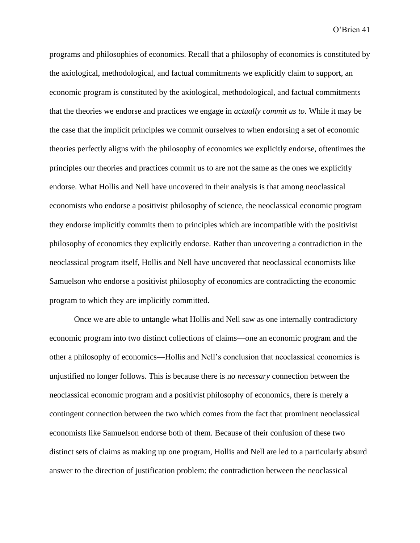programs and philosophies of economics. Recall that a philosophy of economics is constituted by the axiological, methodological, and factual commitments we explicitly claim to support, an economic program is constituted by the axiological, methodological, and factual commitments that the theories we endorse and practices we engage in *actually commit us to.* While it may be the case that the implicit principles we commit ourselves to when endorsing a set of economic theories perfectly aligns with the philosophy of economics we explicitly endorse, oftentimes the principles our theories and practices commit us to are not the same as the ones we explicitly endorse. What Hollis and Nell have uncovered in their analysis is that among neoclassical economists who endorse a positivist philosophy of science, the neoclassical economic program they endorse implicitly commits them to principles which are incompatible with the positivist philosophy of economics they explicitly endorse. Rather than uncovering a contradiction in the neoclassical program itself, Hollis and Nell have uncovered that neoclassical economists like Samuelson who endorse a positivist philosophy of economics are contradicting the economic program to which they are implicitly committed.

Once we are able to untangle what Hollis and Nell saw as one internally contradictory economic program into two distinct collections of claims—one an economic program and the other a philosophy of economics—Hollis and Nell's conclusion that neoclassical economics is unjustified no longer follows. This is because there is no *necessary* connection between the neoclassical economic program and a positivist philosophy of economics, there is merely a contingent connection between the two which comes from the fact that prominent neoclassical economists like Samuelson endorse both of them. Because of their confusion of these two distinct sets of claims as making up one program, Hollis and Nell are led to a particularly absurd answer to the direction of justification problem: the contradiction between the neoclassical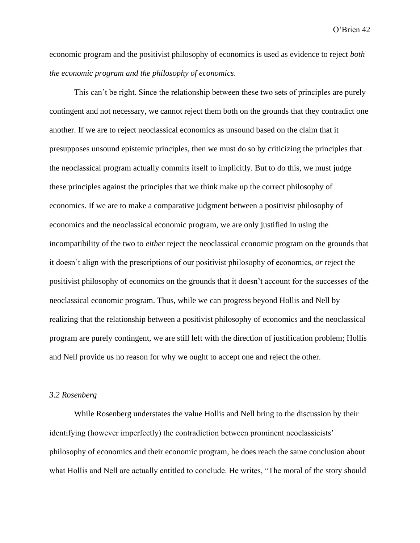economic program and the positivist philosophy of economics is used as evidence to reject *both the economic program and the philosophy of economics*.

This can't be right. Since the relationship between these two sets of principles are purely contingent and not necessary, we cannot reject them both on the grounds that they contradict one another. If we are to reject neoclassical economics as unsound based on the claim that it presupposes unsound epistemic principles, then we must do so by criticizing the principles that the neoclassical program actually commits itself to implicitly. But to do this, we must judge these principles against the principles that we think make up the correct philosophy of economics. If we are to make a comparative judgment between a positivist philosophy of economics and the neoclassical economic program, we are only justified in using the incompatibility of the two to *either* reject the neoclassical economic program on the grounds that it doesn't align with the prescriptions of our positivist philosophy of economics, *or* reject the positivist philosophy of economics on the grounds that it doesn't account for the successes of the neoclassical economic program. Thus, while we can progress beyond Hollis and Nell by realizing that the relationship between a positivist philosophy of economics and the neoclassical program are purely contingent, we are still left with the direction of justification problem; Hollis and Nell provide us no reason for why we ought to accept one and reject the other.

# *3.2 Rosenberg*

While Rosenberg understates the value Hollis and Nell bring to the discussion by their identifying (however imperfectly) the contradiction between prominent neoclassicists' philosophy of economics and their economic program, he does reach the same conclusion about what Hollis and Nell are actually entitled to conclude. He writes, "The moral of the story should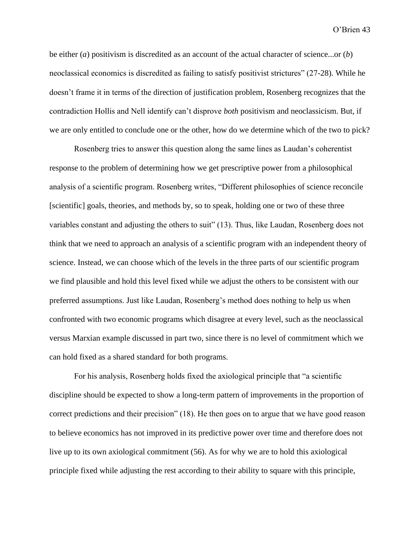be either (*a*) positivism is discredited as an account of the actual character of science...or (*b*) neoclassical economics is discredited as failing to satisfy positivist strictures" (27-28). While he doesn't frame it in terms of the direction of justification problem, Rosenberg recognizes that the contradiction Hollis and Nell identify can't disprove *both* positivism and neoclassicism. But, if we are only entitled to conclude one or the other, how do we determine which of the two to pick?

Rosenberg tries to answer this question along the same lines as Laudan's coherentist response to the problem of determining how we get prescriptive power from a philosophical analysis of a scientific program. Rosenberg writes, "Different philosophies of science reconcile [scientific] goals, theories, and methods by, so to speak, holding one or two of these three variables constant and adjusting the others to suit" (13). Thus, like Laudan, Rosenberg does not think that we need to approach an analysis of a scientific program with an independent theory of science. Instead, we can choose which of the levels in the three parts of our scientific program we find plausible and hold this level fixed while we adjust the others to be consistent with our preferred assumptions. Just like Laudan, Rosenberg's method does nothing to help us when confronted with two economic programs which disagree at every level, such as the neoclassical versus Marxian example discussed in part two, since there is no level of commitment which we can hold fixed as a shared standard for both programs.

For his analysis, Rosenberg holds fixed the axiological principle that "a scientific discipline should be expected to show a long-term pattern of improvements in the proportion of correct predictions and their precision" (18). He then goes on to argue that we have good reason to believe economics has not improved in its predictive power over time and therefore does not live up to its own axiological commitment (56). As for why we are to hold this axiological principle fixed while adjusting the rest according to their ability to square with this principle,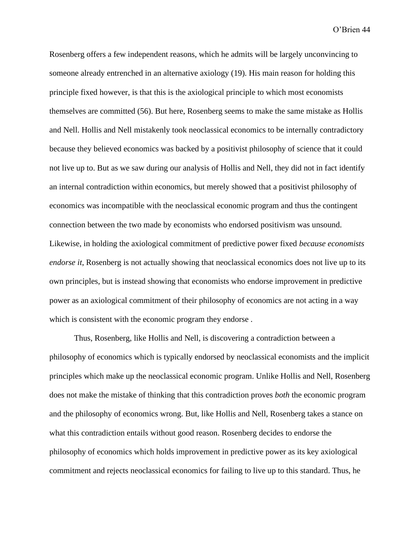Rosenberg offers a few independent reasons, which he admits will be largely unconvincing to someone already entrenched in an alternative axiology (19). His main reason for holding this principle fixed however, is that this is the axiological principle to which most economists themselves are committed (56). But here, Rosenberg seems to make the same mistake as Hollis and Nell. Hollis and Nell mistakenly took neoclassical economics to be internally contradictory because they believed economics was backed by a positivist philosophy of science that it could not live up to. But as we saw during our analysis of Hollis and Nell, they did not in fact identify an internal contradiction within economics, but merely showed that a positivist philosophy of economics was incompatible with the neoclassical economic program and thus the contingent connection between the two made by economists who endorsed positivism was unsound. Likewise, in holding the axiological commitment of predictive power fixed *because economists endorse it*, Rosenberg is not actually showing that neoclassical economics does not live up to its own principles, but is instead showing that economists who endorse improvement in predictive power as an axiological commitment of their philosophy of economics are not acting in a way which is consistent with the economic program they endorse .

Thus, Rosenberg, like Hollis and Nell, is discovering a contradiction between a philosophy of economics which is typically endorsed by neoclassical economists and the implicit principles which make up the neoclassical economic program. Unlike Hollis and Nell, Rosenberg does not make the mistake of thinking that this contradiction proves *both* the economic program and the philosophy of economics wrong. But, like Hollis and Nell, Rosenberg takes a stance on what this contradiction entails without good reason. Rosenberg decides to endorse the philosophy of economics which holds improvement in predictive power as its key axiological commitment and rejects neoclassical economics for failing to live up to this standard. Thus, he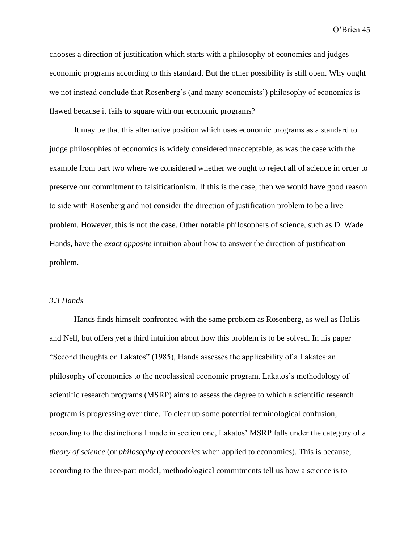chooses a direction of justification which starts with a philosophy of economics and judges economic programs according to this standard. But the other possibility is still open. Why ought we not instead conclude that Rosenberg's (and many economists') philosophy of economics is flawed because it fails to square with our economic programs?

It may be that this alternative position which uses economic programs as a standard to judge philosophies of economics is widely considered unacceptable, as was the case with the example from part two where we considered whether we ought to reject all of science in order to preserve our commitment to falsificationism. If this is the case, then we would have good reason to side with Rosenberg and not consider the direction of justification problem to be a live problem. However, this is not the case. Other notable philosophers of science, such as D. Wade Hands, have the *exact opposite* intuition about how to answer the direction of justification problem.

# *3.3 Hands*

Hands finds himself confronted with the same problem as Rosenberg, as well as Hollis and Nell, but offers yet a third intuition about how this problem is to be solved. In his paper "Second thoughts on Lakatos" (1985), Hands assesses the applicability of a Lakatosian philosophy of economics to the neoclassical economic program. Lakatos's methodology of scientific research programs (MSRP) aims to assess the degree to which a scientific research program is progressing over time. To clear up some potential terminological confusion, according to the distinctions I made in section one, Lakatos' MSRP falls under the category of a *theory of science* (or *philosophy of economics* when applied to economics). This is because, according to the three-part model, methodological commitments tell us how a science is to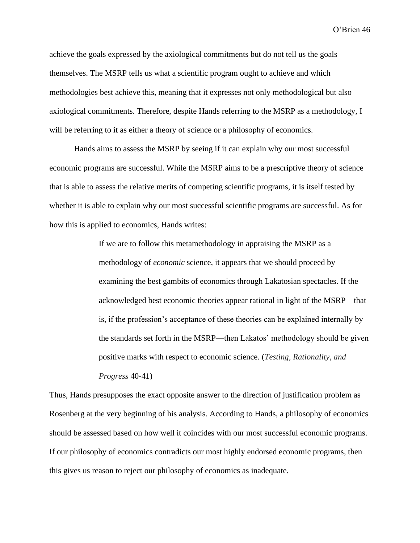achieve the goals expressed by the axiological commitments but do not tell us the goals themselves. The MSRP tells us what a scientific program ought to achieve and which methodologies best achieve this, meaning that it expresses not only methodological but also axiological commitments. Therefore, despite Hands referring to the MSRP as a methodology, I will be referring to it as either a theory of science or a philosophy of economics.

Hands aims to assess the MSRP by seeing if it can explain why our most successful economic programs are successful. While the MSRP aims to be a prescriptive theory of science that is able to assess the relative merits of competing scientific programs, it is itself tested by whether it is able to explain why our most successful scientific programs are successful. As for how this is applied to economics, Hands writes:

> If we are to follow this metamethodology in appraising the MSRP as a methodology of *economic* science, it appears that we should proceed by examining the best gambits of economics through Lakatosian spectacles. If the acknowledged best economic theories appear rational in light of the MSRP—that is, if the profession's acceptance of these theories can be explained internally by the standards set forth in the MSRP—then Lakatos' methodology should be given positive marks with respect to economic science. (*Testing, Rationality, and Progress* 40-41)

Thus, Hands presupposes the exact opposite answer to the direction of justification problem as Rosenberg at the very beginning of his analysis. According to Hands, a philosophy of economics should be assessed based on how well it coincides with our most successful economic programs. If our philosophy of economics contradicts our most highly endorsed economic programs, then this gives us reason to reject our philosophy of economics as inadequate.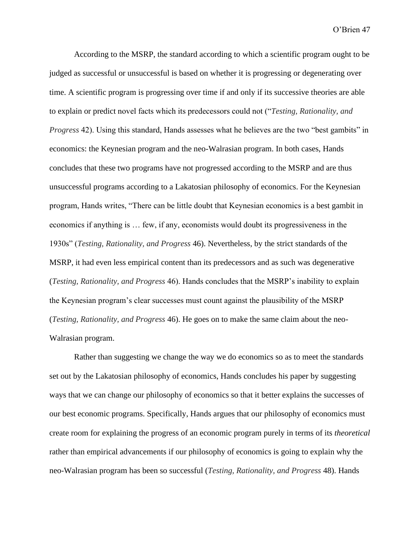According to the MSRP, the standard according to which a scientific program ought to be judged as successful or unsuccessful is based on whether it is progressing or degenerating over time. A scientific program is progressing over time if and only if its successive theories are able to explain or predict novel facts which its predecessors could not ("*Testing, Rationality, and Progress* 42). Using this standard, Hands assesses what he believes are the two "best gambits" in economics: the Keynesian program and the neo-Walrasian program. In both cases, Hands concludes that these two programs have not progressed according to the MSRP and are thus unsuccessful programs according to a Lakatosian philosophy of economics. For the Keynesian program, Hands writes, "There can be little doubt that Keynesian economics is a best gambit in economics if anything is … few, if any, economists would doubt its progressiveness in the 1930s" (*Testing, Rationality, and Progress* 46). Nevertheless, by the strict standards of the MSRP, it had even less empirical content than its predecessors and as such was degenerative (*Testing, Rationality, and Progress* 46). Hands concludes that the MSRP's inability to explain the Keynesian program's clear successes must count against the plausibility of the MSRP (*Testing, Rationality, and Progress* 46). He goes on to make the same claim about the neo-Walrasian program.

Rather than suggesting we change the way we do economics so as to meet the standards set out by the Lakatosian philosophy of economics, Hands concludes his paper by suggesting ways that we can change our philosophy of economics so that it better explains the successes of our best economic programs. Specifically, Hands argues that our philosophy of economics must create room for explaining the progress of an economic program purely in terms of its *theoretical* rather than empirical advancements if our philosophy of economics is going to explain why the neo-Walrasian program has been so successful (*Testing, Rationality, and Progress* 48). Hands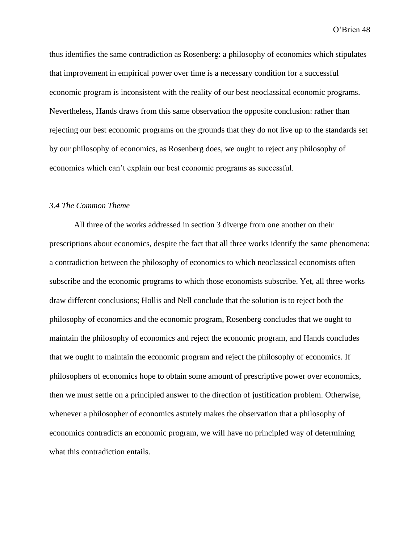thus identifies the same contradiction as Rosenberg: a philosophy of economics which stipulates that improvement in empirical power over time is a necessary condition for a successful economic program is inconsistent with the reality of our best neoclassical economic programs. Nevertheless, Hands draws from this same observation the opposite conclusion: rather than rejecting our best economic programs on the grounds that they do not live up to the standards set by our philosophy of economics, as Rosenberg does, we ought to reject any philosophy of economics which can't explain our best economic programs as successful.

# *3.4 The Common Theme*

All three of the works addressed in section 3 diverge from one another on their prescriptions about economics, despite the fact that all three works identify the same phenomena: a contradiction between the philosophy of economics to which neoclassical economists often subscribe and the economic programs to which those economists subscribe. Yet, all three works draw different conclusions; Hollis and Nell conclude that the solution is to reject both the philosophy of economics and the economic program, Rosenberg concludes that we ought to maintain the philosophy of economics and reject the economic program, and Hands concludes that we ought to maintain the economic program and reject the philosophy of economics. If philosophers of economics hope to obtain some amount of prescriptive power over economics, then we must settle on a principled answer to the direction of justification problem. Otherwise, whenever a philosopher of economics astutely makes the observation that a philosophy of economics contradicts an economic program, we will have no principled way of determining what this contradiction entails.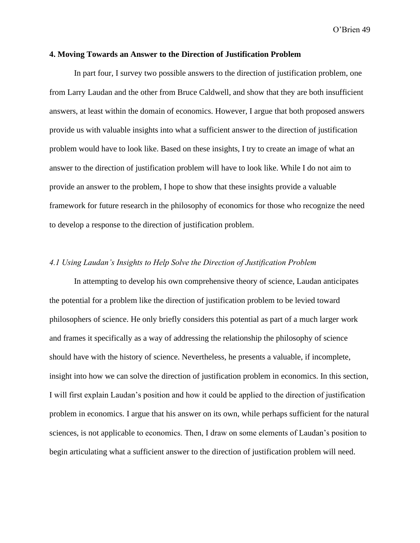# **4. Moving Towards an Answer to the Direction of Justification Problem**

In part four, I survey two possible answers to the direction of justification problem, one from Larry Laudan and the other from Bruce Caldwell, and show that they are both insufficient answers, at least within the domain of economics. However, I argue that both proposed answers provide us with valuable insights into what a sufficient answer to the direction of justification problem would have to look like. Based on these insights, I try to create an image of what an answer to the direction of justification problem will have to look like. While I do not aim to provide an answer to the problem, I hope to show that these insights provide a valuable framework for future research in the philosophy of economics for those who recognize the need to develop a response to the direction of justification problem.

# *4.1 Using Laudan's Insights to Help Solve the Direction of Justification Problem*

In attempting to develop his own comprehensive theory of science, Laudan anticipates the potential for a problem like the direction of justification problem to be levied toward philosophers of science. He only briefly considers this potential as part of a much larger work and frames it specifically as a way of addressing the relationship the philosophy of science should have with the history of science. Nevertheless, he presents a valuable, if incomplete, insight into how we can solve the direction of justification problem in economics. In this section, I will first explain Laudan's position and how it could be applied to the direction of justification problem in economics. I argue that his answer on its own, while perhaps sufficient for the natural sciences, is not applicable to economics. Then, I draw on some elements of Laudan's position to begin articulating what a sufficient answer to the direction of justification problem will need.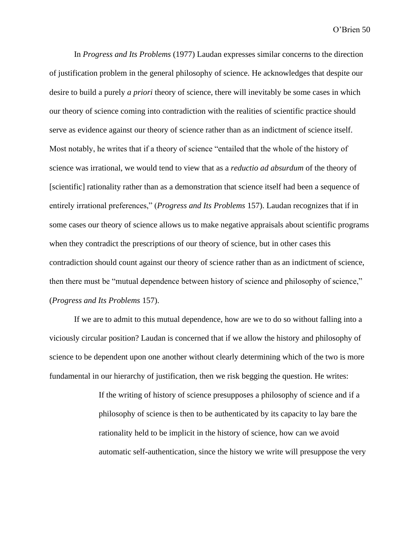In *Progress and Its Problems* (1977) Laudan expresses similar concerns to the direction of justification problem in the general philosophy of science. He acknowledges that despite our desire to build a purely *a priori* theory of science, there will inevitably be some cases in which our theory of science coming into contradiction with the realities of scientific practice should serve as evidence against our theory of science rather than as an indictment of science itself. Most notably, he writes that if a theory of science "entailed that the whole of the history of science was irrational, we would tend to view that as a *reductio ad absurdum* of the theory of [scientific] rationality rather than as a demonstration that science itself had been a sequence of entirely irrational preferences," (*Progress and Its Problems* 157). Laudan recognizes that if in some cases our theory of science allows us to make negative appraisals about scientific programs when they contradict the prescriptions of our theory of science, but in other cases this contradiction should count against our theory of science rather than as an indictment of science, then there must be "mutual dependence between history of science and philosophy of science," (*Progress and Its Problems* 157).

If we are to admit to this mutual dependence, how are we to do so without falling into a viciously circular position? Laudan is concerned that if we allow the history and philosophy of science to be dependent upon one another without clearly determining which of the two is more fundamental in our hierarchy of justification, then we risk begging the question. He writes:

> If the writing of history of science presupposes a philosophy of science and if a philosophy of science is then to be authenticated by its capacity to lay bare the rationality held to be implicit in the history of science, how can we avoid automatic self-authentication, since the history we write will presuppose the very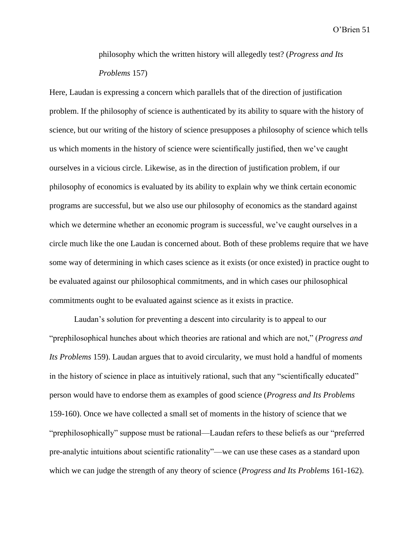philosophy which the written history will allegedly test? (*Progress and Its Problems* 157)

Here, Laudan is expressing a concern which parallels that of the direction of justification problem. If the philosophy of science is authenticated by its ability to square with the history of science, but our writing of the history of science presupposes a philosophy of science which tells us which moments in the history of science were scientifically justified, then we've caught ourselves in a vicious circle. Likewise, as in the direction of justification problem, if our philosophy of economics is evaluated by its ability to explain why we think certain economic programs are successful, but we also use our philosophy of economics as the standard against which we determine whether an economic program is successful, we've caught ourselves in a circle much like the one Laudan is concerned about. Both of these problems require that we have some way of determining in which cases science as it exists (or once existed) in practice ought to be evaluated against our philosophical commitments, and in which cases our philosophical commitments ought to be evaluated against science as it exists in practice.

Laudan's solution for preventing a descent into circularity is to appeal to our "prephilosophical hunches about which theories are rational and which are not," (*Progress and Its Problems* 159). Laudan argues that to avoid circularity, we must hold a handful of moments in the history of science in place as intuitively rational, such that any "scientifically educated" person would have to endorse them as examples of good science (*Progress and Its Problems*  159-160). Once we have collected a small set of moments in the history of science that we "prephilosophically" suppose must be rational—Laudan refers to these beliefs as our "preferred pre-analytic intuitions about scientific rationality"—we can use these cases as a standard upon which we can judge the strength of any theory of science (*Progress and Its Problems* 161-162).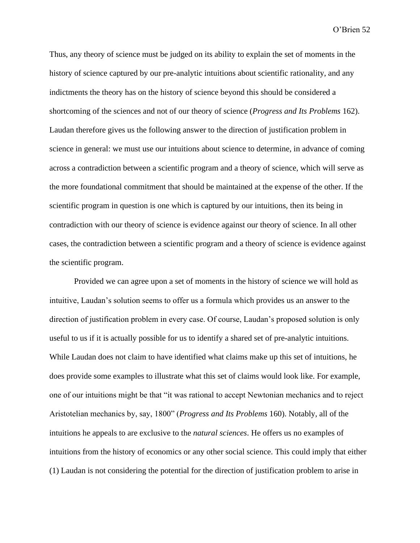Thus, any theory of science must be judged on its ability to explain the set of moments in the history of science captured by our pre-analytic intuitions about scientific rationality, and any indictments the theory has on the history of science beyond this should be considered a shortcoming of the sciences and not of our theory of science (*Progress and Its Problems* 162). Laudan therefore gives us the following answer to the direction of justification problem in science in general: we must use our intuitions about science to determine, in advance of coming across a contradiction between a scientific program and a theory of science, which will serve as the more foundational commitment that should be maintained at the expense of the other. If the scientific program in question is one which is captured by our intuitions, then its being in contradiction with our theory of science is evidence against our theory of science. In all other cases, the contradiction between a scientific program and a theory of science is evidence against the scientific program.

Provided we can agree upon a set of moments in the history of science we will hold as intuitive, Laudan's solution seems to offer us a formula which provides us an answer to the direction of justification problem in every case. Of course, Laudan's proposed solution is only useful to us if it is actually possible for us to identify a shared set of pre-analytic intuitions. While Laudan does not claim to have identified what claims make up this set of intuitions, he does provide some examples to illustrate what this set of claims would look like. For example, one of our intuitions might be that "it was rational to accept Newtonian mechanics and to reject Aristotelian mechanics by, say, 1800" (*Progress and Its Problems* 160). Notably, all of the intuitions he appeals to are exclusive to the *natural sciences*. He offers us no examples of intuitions from the history of economics or any other social science. This could imply that either (1) Laudan is not considering the potential for the direction of justification problem to arise in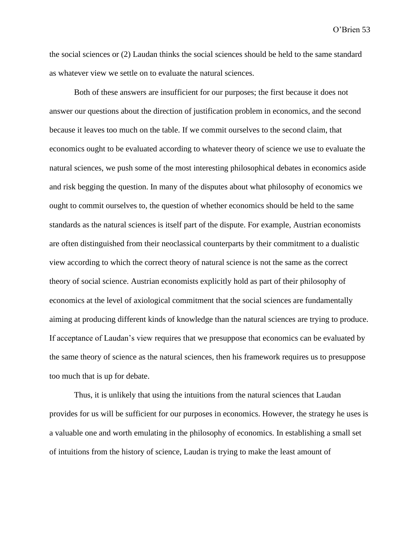the social sciences or (2) Laudan thinks the social sciences should be held to the same standard as whatever view we settle on to evaluate the natural sciences.

Both of these answers are insufficient for our purposes; the first because it does not answer our questions about the direction of justification problem in economics, and the second because it leaves too much on the table. If we commit ourselves to the second claim, that economics ought to be evaluated according to whatever theory of science we use to evaluate the natural sciences, we push some of the most interesting philosophical debates in economics aside and risk begging the question. In many of the disputes about what philosophy of economics we ought to commit ourselves to, the question of whether economics should be held to the same standards as the natural sciences is itself part of the dispute. For example, Austrian economists are often distinguished from their neoclassical counterparts by their commitment to a dualistic view according to which the correct theory of natural science is not the same as the correct theory of social science. Austrian economists explicitly hold as part of their philosophy of economics at the level of axiological commitment that the social sciences are fundamentally aiming at producing different kinds of knowledge than the natural sciences are trying to produce. If acceptance of Laudan's view requires that we presuppose that economics can be evaluated by the same theory of science as the natural sciences, then his framework requires us to presuppose too much that is up for debate.

Thus, it is unlikely that using the intuitions from the natural sciences that Laudan provides for us will be sufficient for our purposes in economics. However, the strategy he uses is a valuable one and worth emulating in the philosophy of economics. In establishing a small set of intuitions from the history of science, Laudan is trying to make the least amount of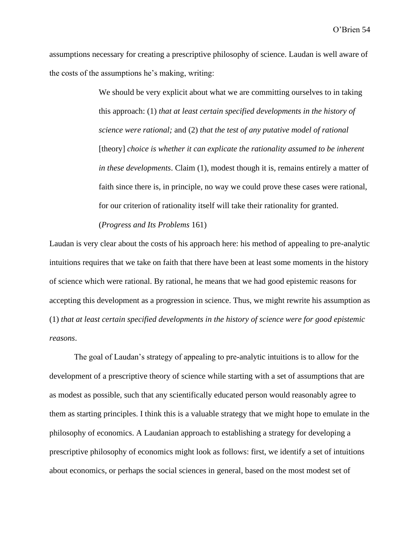assumptions necessary for creating a prescriptive philosophy of science. Laudan is well aware of the costs of the assumptions he's making, writing:

> We should be very explicit about what we are committing ourselves to in taking this approach: (1) *that at least certain specified developments in the history of science were rational;* and (2) *that the test of any putative model of rational*  [theory] *choice is whether it can explicate the rationality assumed to be inherent in these developments*. Claim (1), modest though it is, remains entirely a matter of faith since there is, in principle, no way we could prove these cases were rational, for our criterion of rationality itself will take their rationality for granted.

### (*Progress and Its Problems* 161)

Laudan is very clear about the costs of his approach here: his method of appealing to pre-analytic intuitions requires that we take on faith that there have been at least some moments in the history of science which were rational. By rational, he means that we had good epistemic reasons for accepting this development as a progression in science. Thus, we might rewrite his assumption as (1) *that at least certain specified developments in the history of science were for good epistemic reasons*.

The goal of Laudan's strategy of appealing to pre-analytic intuitions is to allow for the development of a prescriptive theory of science while starting with a set of assumptions that are as modest as possible, such that any scientifically educated person would reasonably agree to them as starting principles. I think this is a valuable strategy that we might hope to emulate in the philosophy of economics. A Laudanian approach to establishing a strategy for developing a prescriptive philosophy of economics might look as follows: first, we identify a set of intuitions about economics, or perhaps the social sciences in general, based on the most modest set of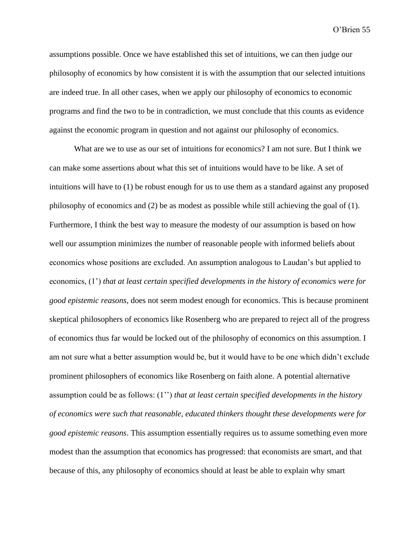assumptions possible. Once we have established this set of intuitions, we can then judge our philosophy of economics by how consistent it is with the assumption that our selected intuitions are indeed true. In all other cases, when we apply our philosophy of economics to economic programs and find the two to be in contradiction, we must conclude that this counts as evidence against the economic program in question and not against our philosophy of economics.

What are we to use as our set of intuitions for economics? I am not sure. But I think we can make some assertions about what this set of intuitions would have to be like. A set of intuitions will have to (1) be robust enough for us to use them as a standard against any proposed philosophy of economics and (2) be as modest as possible while still achieving the goal of (1). Furthermore, I think the best way to measure the modesty of our assumption is based on how well our assumption minimizes the number of reasonable people with informed beliefs about economics whose positions are excluded. An assumption analogous to Laudan's but applied to economics, (1') *that at least certain specified developments in the history of economics were for good epistemic reasons*, does not seem modest enough for economics. This is because prominent skeptical philosophers of economics like Rosenberg who are prepared to reject all of the progress of economics thus far would be locked out of the philosophy of economics on this assumption. I am not sure what a better assumption would be, but it would have to be one which didn't exclude prominent philosophers of economics like Rosenberg on faith alone. A potential alternative assumption could be as follows: (1'') *that at least certain specified developments in the history of economics were such that reasonable, educated thinkers thought these developments were for good epistemic reasons*. This assumption essentially requires us to assume something even more modest than the assumption that economics has progressed: that economists are smart, and that because of this, any philosophy of economics should at least be able to explain why smart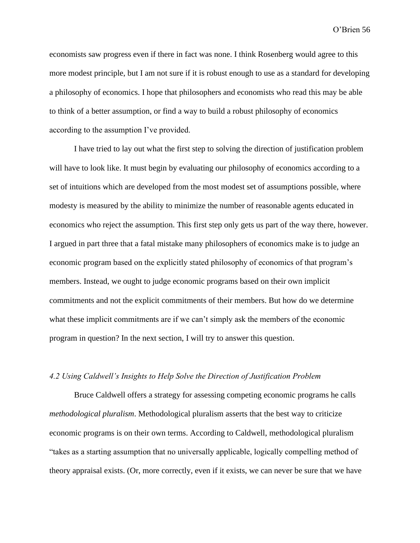economists saw progress even if there in fact was none. I think Rosenberg would agree to this more modest principle, but I am not sure if it is robust enough to use as a standard for developing a philosophy of economics. I hope that philosophers and economists who read this may be able to think of a better assumption, or find a way to build a robust philosophy of economics according to the assumption I've provided.

I have tried to lay out what the first step to solving the direction of justification problem will have to look like. It must begin by evaluating our philosophy of economics according to a set of intuitions which are developed from the most modest set of assumptions possible, where modesty is measured by the ability to minimize the number of reasonable agents educated in economics who reject the assumption. This first step only gets us part of the way there, however. I argued in part three that a fatal mistake many philosophers of economics make is to judge an economic program based on the explicitly stated philosophy of economics of that program's members. Instead, we ought to judge economic programs based on their own implicit commitments and not the explicit commitments of their members. But how do we determine what these implicit commitments are if we can't simply ask the members of the economic program in question? In the next section, I will try to answer this question.

# *4.2 Using Caldwell's Insights to Help Solve the Direction of Justification Problem*

Bruce Caldwell offers a strategy for assessing competing economic programs he calls *methodological pluralism*. Methodological pluralism asserts that the best way to criticize economic programs is on their own terms. According to Caldwell, methodological pluralism "takes as a starting assumption that no universally applicable, logically compelling method of theory appraisal exists. (Or, more correctly, even if it exists, we can never be sure that we have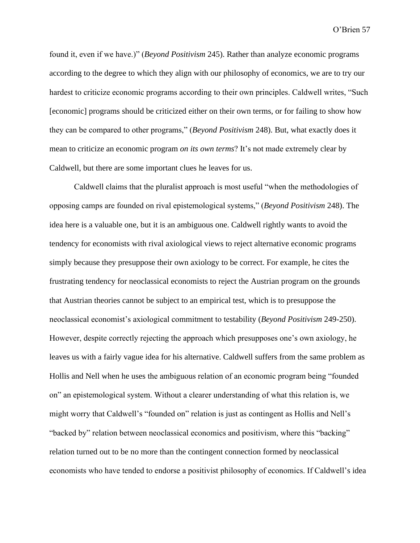found it, even if we have.)" (*Beyond Positivism* 245). Rather than analyze economic programs according to the degree to which they align with our philosophy of economics, we are to try our hardest to criticize economic programs according to their own principles. Caldwell writes, "Such [economic] programs should be criticized either on their own terms, or for failing to show how they can be compared to other programs," (*Beyond Positivism* 248). But, what exactly does it mean to criticize an economic program *on its own terms*? It's not made extremely clear by Caldwell, but there are some important clues he leaves for us.

Caldwell claims that the pluralist approach is most useful "when the methodologies of opposing camps are founded on rival epistemological systems," (*Beyond Positivism* 248). The idea here is a valuable one, but it is an ambiguous one. Caldwell rightly wants to avoid the tendency for economists with rival axiological views to reject alternative economic programs simply because they presuppose their own axiology to be correct. For example, he cites the frustrating tendency for neoclassical economists to reject the Austrian program on the grounds that Austrian theories cannot be subject to an empirical test, which is to presuppose the neoclassical economist's axiological commitment to testability (*Beyond Positivism* 249-250). However, despite correctly rejecting the approach which presupposes one's own axiology, he leaves us with a fairly vague idea for his alternative. Caldwell suffers from the same problem as Hollis and Nell when he uses the ambiguous relation of an economic program being "founded on" an epistemological system. Without a clearer understanding of what this relation is, we might worry that Caldwell's "founded on" relation is just as contingent as Hollis and Nell's "backed by" relation between neoclassical economics and positivism, where this "backing" relation turned out to be no more than the contingent connection formed by neoclassical economists who have tended to endorse a positivist philosophy of economics. If Caldwell's idea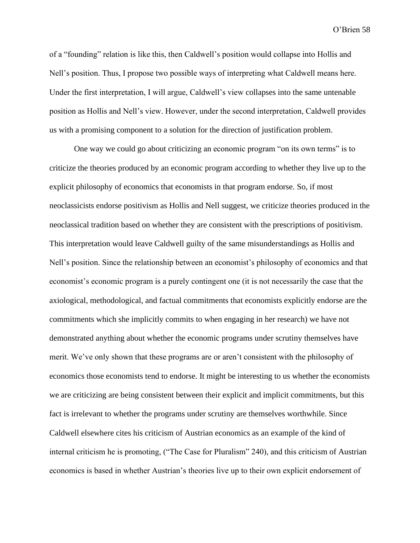of a "founding" relation is like this, then Caldwell's position would collapse into Hollis and Nell's position. Thus, I propose two possible ways of interpreting what Caldwell means here. Under the first interpretation, I will argue, Caldwell's view collapses into the same untenable position as Hollis and Nell's view. However, under the second interpretation, Caldwell provides us with a promising component to a solution for the direction of justification problem.

One way we could go about criticizing an economic program "on its own terms" is to criticize the theories produced by an economic program according to whether they live up to the explicit philosophy of economics that economists in that program endorse. So, if most neoclassicists endorse positivism as Hollis and Nell suggest, we criticize theories produced in the neoclassical tradition based on whether they are consistent with the prescriptions of positivism. This interpretation would leave Caldwell guilty of the same misunderstandings as Hollis and Nell's position. Since the relationship between an economist's philosophy of economics and that economist's economic program is a purely contingent one (it is not necessarily the case that the axiological, methodological, and factual commitments that economists explicitly endorse are the commitments which she implicitly commits to when engaging in her research) we have not demonstrated anything about whether the economic programs under scrutiny themselves have merit. We've only shown that these programs are or aren't consistent with the philosophy of economics those economists tend to endorse. It might be interesting to us whether the economists we are criticizing are being consistent between their explicit and implicit commitments, but this fact is irrelevant to whether the programs under scrutiny are themselves worthwhile. Since Caldwell elsewhere cites his criticism of Austrian economics as an example of the kind of internal criticism he is promoting, ("The Case for Pluralism" 240), and this criticism of Austrian economics is based in whether Austrian's theories live up to their own explicit endorsement of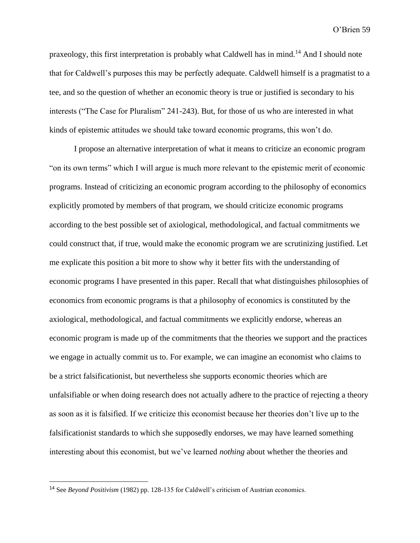praxeology, this first interpretation is probably what Caldwell has in mind.<sup>14</sup> And I should note that for Caldwell's purposes this may be perfectly adequate. Caldwell himself is a pragmatist to a tee, and so the question of whether an economic theory is true or justified is secondary to his interests ("The Case for Pluralism" 241-243). But, for those of us who are interested in what kinds of epistemic attitudes we should take toward economic programs, this won't do.

I propose an alternative interpretation of what it means to criticize an economic program "on its own terms" which I will argue is much more relevant to the epistemic merit of economic programs. Instead of criticizing an economic program according to the philosophy of economics explicitly promoted by members of that program, we should criticize economic programs according to the best possible set of axiological, methodological, and factual commitments we could construct that, if true, would make the economic program we are scrutinizing justified. Let me explicate this position a bit more to show why it better fits with the understanding of economic programs I have presented in this paper. Recall that what distinguishes philosophies of economics from economic programs is that a philosophy of economics is constituted by the axiological, methodological, and factual commitments we explicitly endorse, whereas an economic program is made up of the commitments that the theories we support and the practices we engage in actually commit us to. For example, we can imagine an economist who claims to be a strict falsificationist, but nevertheless she supports economic theories which are unfalsifiable or when doing research does not actually adhere to the practice of rejecting a theory as soon as it is falsified. If we criticize this economist because her theories don't live up to the falsificationist standards to which she supposedly endorses, we may have learned something interesting about this economist, but we've learned *nothing* about whether the theories and

<sup>14</sup> See *Beyond Positivism* (1982) pp. 128-135 for Caldwell's criticism of Austrian economics.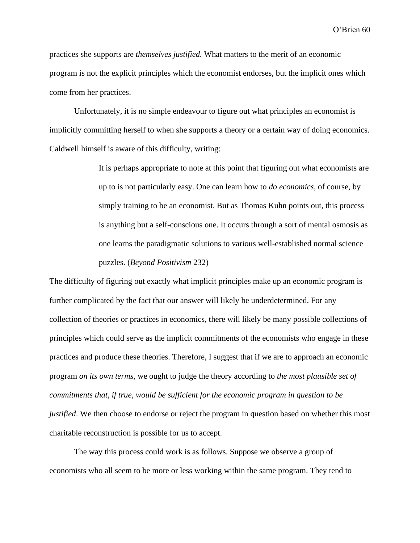practices she supports are *themselves justified.* What matters to the merit of an economic program is not the explicit principles which the economist endorses, but the implicit ones which come from her practices.

Unfortunately, it is no simple endeavour to figure out what principles an economist is implicitly committing herself to when she supports a theory or a certain way of doing economics. Caldwell himself is aware of this difficulty, writing:

> It is perhaps appropriate to note at this point that figuring out what economists are up to is not particularly easy. One can learn how to *do economics*, of course, by simply training to be an economist. But as Thomas Kuhn points out, this process is anything but a self-conscious one. It occurs through a sort of mental osmosis as one learns the paradigmatic solutions to various well-established normal science puzzles. (*Beyond Positivism* 232)

The difficulty of figuring out exactly what implicit principles make up an economic program is further complicated by the fact that our answer will likely be underdetermined. For any collection of theories or practices in economics, there will likely be many possible collections of principles which could serve as the implicit commitments of the economists who engage in these practices and produce these theories. Therefore, I suggest that if we are to approach an economic program *on its own terms*, we ought to judge the theory according to *the most plausible set of commitments that, if true, would be sufficient for the economic program in question to be justified*. We then choose to endorse or reject the program in question based on whether this most charitable reconstruction is possible for us to accept.

The way this process could work is as follows. Suppose we observe a group of economists who all seem to be more or less working within the same program. They tend to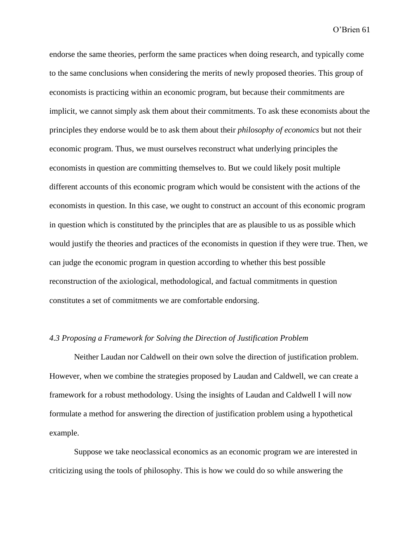endorse the same theories, perform the same practices when doing research, and typically come to the same conclusions when considering the merits of newly proposed theories. This group of economists is practicing within an economic program, but because their commitments are implicit, we cannot simply ask them about their commitments. To ask these economists about the principles they endorse would be to ask them about their *philosophy of economics* but not their economic program. Thus, we must ourselves reconstruct what underlying principles the economists in question are committing themselves to. But we could likely posit multiple different accounts of this economic program which would be consistent with the actions of the economists in question. In this case, we ought to construct an account of this economic program in question which is constituted by the principles that are as plausible to us as possible which would justify the theories and practices of the economists in question if they were true. Then, we can judge the economic program in question according to whether this best possible reconstruction of the axiological, methodological, and factual commitments in question constitutes a set of commitments we are comfortable endorsing.

#### *4.3 Proposing a Framework for Solving the Direction of Justification Problem*

Neither Laudan nor Caldwell on their own solve the direction of justification problem. However, when we combine the strategies proposed by Laudan and Caldwell, we can create a framework for a robust methodology. Using the insights of Laudan and Caldwell I will now formulate a method for answering the direction of justification problem using a hypothetical example.

Suppose we take neoclassical economics as an economic program we are interested in criticizing using the tools of philosophy. This is how we could do so while answering the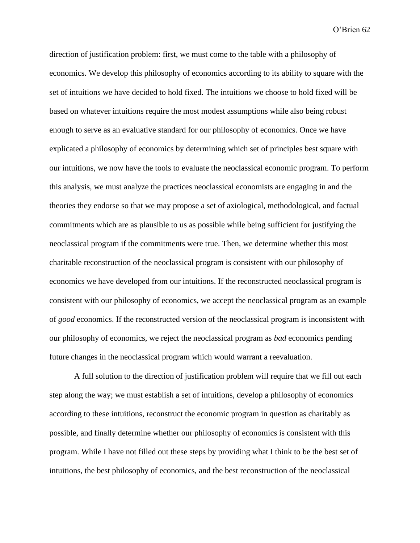direction of justification problem: first, we must come to the table with a philosophy of economics. We develop this philosophy of economics according to its ability to square with the set of intuitions we have decided to hold fixed. The intuitions we choose to hold fixed will be based on whatever intuitions require the most modest assumptions while also being robust enough to serve as an evaluative standard for our philosophy of economics. Once we have explicated a philosophy of economics by determining which set of principles best square with our intuitions, we now have the tools to evaluate the neoclassical economic program. To perform this analysis, we must analyze the practices neoclassical economists are engaging in and the theories they endorse so that we may propose a set of axiological, methodological, and factual commitments which are as plausible to us as possible while being sufficient for justifying the neoclassical program if the commitments were true. Then, we determine whether this most charitable reconstruction of the neoclassical program is consistent with our philosophy of economics we have developed from our intuitions. If the reconstructed neoclassical program is consistent with our philosophy of economics, we accept the neoclassical program as an example of *good* economics. If the reconstructed version of the neoclassical program is inconsistent with our philosophy of economics, we reject the neoclassical program as *bad* economics pending future changes in the neoclassical program which would warrant a reevaluation.

A full solution to the direction of justification problem will require that we fill out each step along the way; we must establish a set of intuitions, develop a philosophy of economics according to these intuitions, reconstruct the economic program in question as charitably as possible, and finally determine whether our philosophy of economics is consistent with this program. While I have not filled out these steps by providing what I think to be the best set of intuitions, the best philosophy of economics, and the best reconstruction of the neoclassical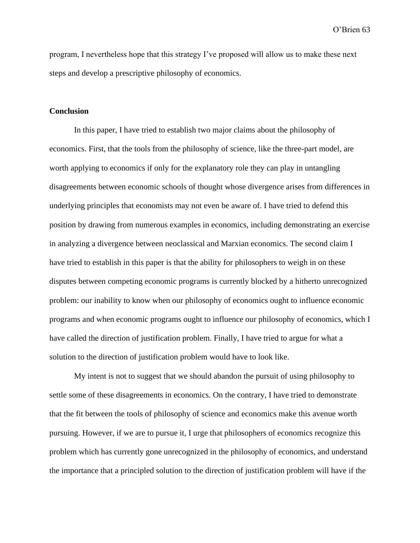program, I nevertheless hope that this strategy I've proposed will allow us to make these next steps and develop a prescriptive philosophy of economics.

# **Conclusion**

In this paper, I have tried to establish two major claims about the philosophy of economics. First, that the tools from the philosophy of science, like the three-part model, are worth applying to economics if only for the explanatory role they can play in untangling disagreements between economic schools of thought whose divergence arises from differences in underlying principles that economists may not even be aware of. I have tried to defend this position by drawing from numerous examples in economics, including demonstrating an exercise in analyzing a divergence between neoclassical and Marxian economics. The second claim I have tried to establish in this paper is that the ability for philosophers to weigh in on these disputes between competing economic programs is currently blocked by a hitherto unrecognized problem: our inability to know when our philosophy of economics ought to influence economic programs and when economic programs ought to influence our philosophy of economics, which I have called the direction of justification problem. Finally, I have tried to argue for what a solution to the direction of justification problem would have to look like.

My intent is not to suggest that we should abandon the pursuit of using philosophy to settle some of these disagreements in economics. On the contrary, I have tried to demonstrate that the fit between the tools of philosophy of science and economics make this avenue worth pursuing. However, if we are to pursue it, I urge that philosophers of economics recognize this problem which has currently gone unrecognized in the philosophy of economics, and understand the importance that a principled solution to the direction of justification problem will have if the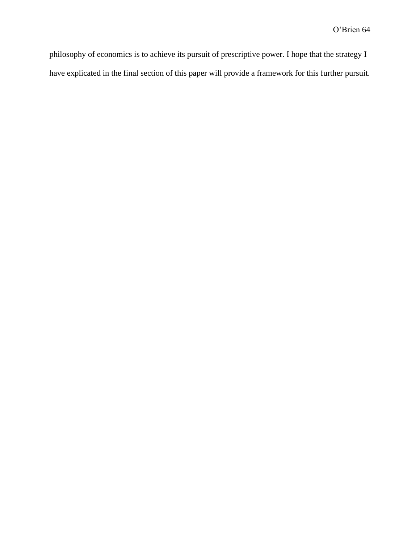philosophy of economics is to achieve its pursuit of prescriptive power. I hope that the strategy I have explicated in the final section of this paper will provide a framework for this further pursuit.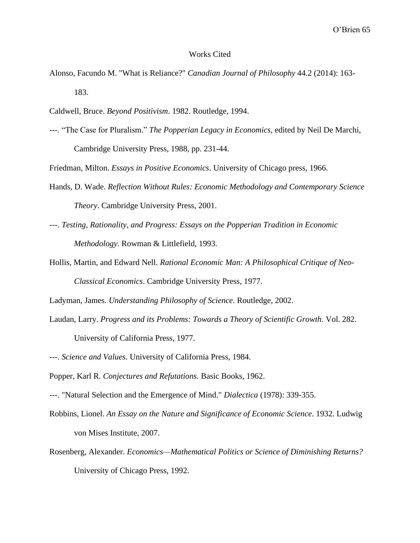#### Works Cited

- Alonso, Facundo M. "What is Reliance?" *Canadian Journal of Philosophy* 44.2 (2014): 163- 183.
- Caldwell, Bruce. *Beyond Positivism*. 1982. Routledge, 1994.
- ---. "The Case for Pluralism." *The Popperian Legacy in Economics*, edited by Neil De Marchi, Cambridge University Press, 1988, pp. 231-44.

Friedman, Milton. *Essays in Positive Economics*. University of Chicago press, 1966.

- Hands, D. Wade. *Reflection Without Rules: Economic Methodology and Contemporary Science Theory*. Cambridge University Press, 2001.
- ---. *Testing, Rationality, and Progress: Essays on the Popperian Tradition in Economic Methodology*. Rowman & Littlefield, 1993.
- Hollis, Martin, and Edward Nell. *Rational Economic Man: A Philosophical Critique of Neo-Classical Economics*. Cambridge University Press, 1977.

Ladyman, James. *Understanding Philosophy of Science*. Routledge, 2002.

Laudan, Larry. *Progress and its Problems: Towards a Theory of Scientific Growth*. Vol. 282.

University of California Press, 1977.

- ---. *Science and Values*. University of California Press, 1984.
- Popper, Karl R. *Conjectures and Refutations.* Basic Books, 1962.
- ---. "Natural Selection and the Emergence of Mind." *Dialectica* (1978): 339-355.
- Robbins, Lionel. *An Essay on the Nature and Significance of Economic Science*. 1932. Ludwig von Mises Institute, 2007.
- Rosenberg, Alexander. *Economics—Mathematical Politics or Science of Diminishing Returns?* University of Chicago Press, 1992.